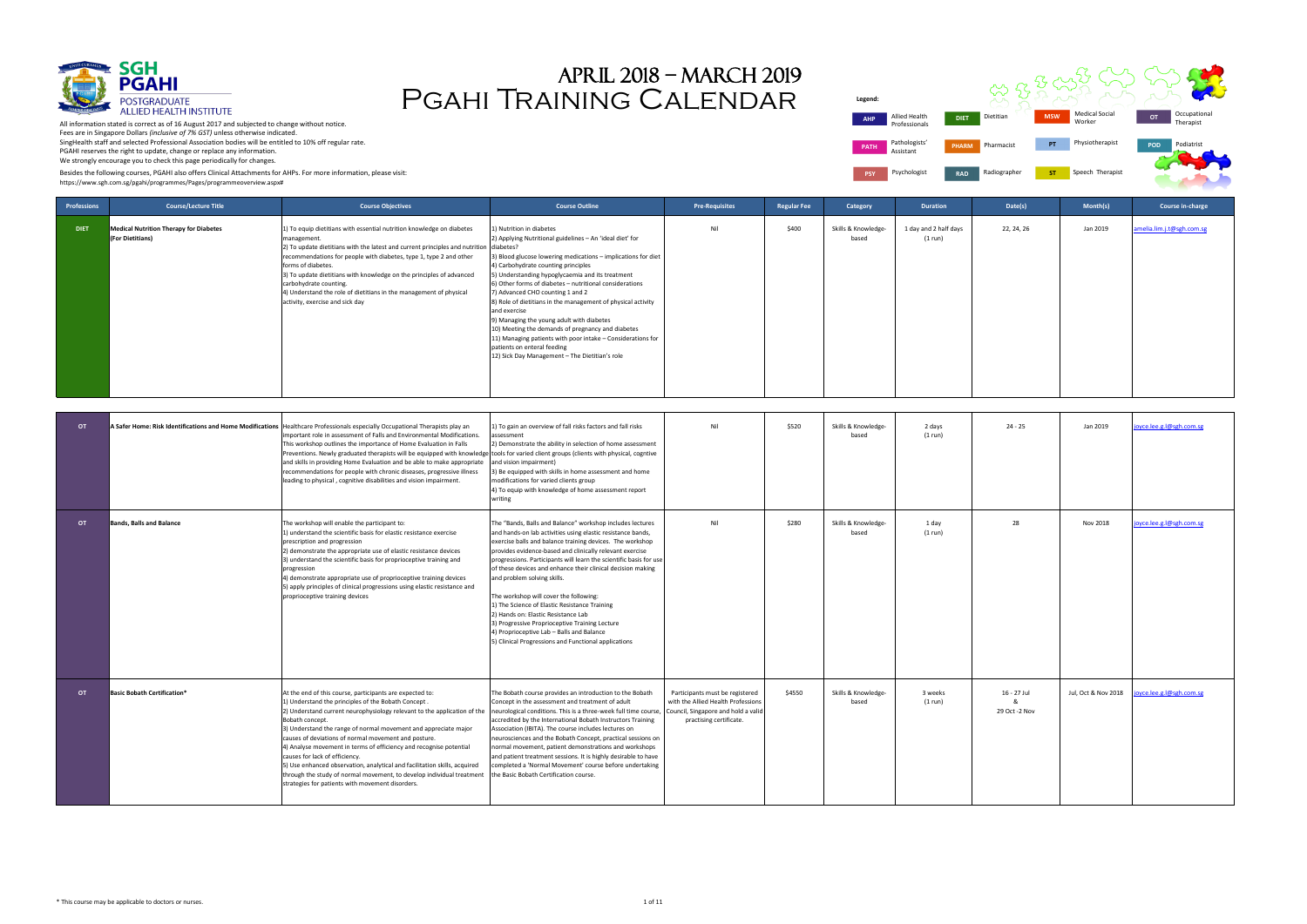| <b>Professions</b> | <b>Course/Lecture Title</b>                                       | <b>Course Objectives</b>                                                                                                                                                                                                                                                                                                                                                                                                                                                                                                                                                                                                                                    | <b>Course Outline</b>                                                                                                                                                                                                                                                                                                                                                                                                                                                                                                                                                                                                                                                                                          | <b>Pre-Requisites</b>                                                                                                                   | <b>Regular Fee</b> | Category                     | <b>Duration</b>                  | Date(s)                           | Month(s)            | Course in-charge         |
|--------------------|-------------------------------------------------------------------|-------------------------------------------------------------------------------------------------------------------------------------------------------------------------------------------------------------------------------------------------------------------------------------------------------------------------------------------------------------------------------------------------------------------------------------------------------------------------------------------------------------------------------------------------------------------------------------------------------------------------------------------------------------|----------------------------------------------------------------------------------------------------------------------------------------------------------------------------------------------------------------------------------------------------------------------------------------------------------------------------------------------------------------------------------------------------------------------------------------------------------------------------------------------------------------------------------------------------------------------------------------------------------------------------------------------------------------------------------------------------------------|-----------------------------------------------------------------------------------------------------------------------------------------|--------------------|------------------------------|----------------------------------|-----------------------------------|---------------------|--------------------------|
| <b>DIET</b>        | <b>Medical Nutrition Therapy for Diabetes</b><br>(For Dietitians) | 1) To equip dietitians with essential nutrition knowledge on diabetes<br>management.<br>2) To update dietitians with the latest and current principles and nutrition<br>recommendations for people with diabetes, type 1, type 2 and other<br>forms of diabetes.<br>3) To update dietitians with knowledge on the principles of advanced<br>carbohydrate counting.<br>4) Understand the role of dietitians in the management of physical<br>activity, exercise and sick day                                                                                                                                                                                 | 1) Nutrition in diabetes<br>2) Applying Nutritional guidelines - An 'ideal diet' for<br>diabetes?<br>3) Blood glucose lowering medications - implications for diet<br>4) Carbohydrate counting principles<br>5) Understanding hypoglycaemia and its treatment<br>6) Other forms of diabetes - nutritional considerations<br>7) Advanced CHO counting 1 and 2<br>8) Role of dietitians in the management of physical activity<br>and exercise<br>9) Managing the young adult with diabetes<br>10) Meeting the demands of pregnancy and diabetes<br>11) Managing patients with poor intake - Considerations for<br>patients on enteral feeding<br>12) Sick Day Management - The Dietitian's role                 | Nil                                                                                                                                     | \$400              | Skills & Knowledge-<br>based | 1 day and 2 half days<br>(1 run) | 22, 24, 26                        | Jan 2019            | melia.lim.j.t@sgh.com.sg |
| <b>OT</b>          |                                                                   | A Safer Home: Risk Identifications and Home Modifications Healthcare Professionals especially Occupational Therapists play an<br>important role in assessment of Falls and Environmental Modifications.<br>This workshop outlines the importance of Home Evaluation in Falls<br>Preventions. Newly graduated therapists will be equipped with knowledge<br>and skills in providing Home Evaluation and be able to make appropriate<br>recommendations for people with chronic diseases, progressive illness<br>leading to physical, cognitive disabilities and vision impairment.                                                                           | 1) To gain an overview of fall risks factors and fall risks<br>assessment<br>2) Demonstrate the ability in selection of home assessment<br>tools for varied client groups (clients with physical, cogntive<br>and vision impairment)<br>3) Be equipped with skills in home assessment and home<br>modifications for varied clients group<br>4) To equip with knowledge of home assessment report<br>writing                                                                                                                                                                                                                                                                                                    | Nil                                                                                                                                     | \$520              | Skills & Knowledge-<br>based | 2 days<br>(1 run)                | $24 - 25$                         | Jan 2019            | oyce.lee.g.l@sgh.com.sg  |
| OT                 | <b>Bands, Balls and Balance</b>                                   | The workshop will enable the participant to:<br>1) understand the scientific basis for elastic resistance exercise<br>prescription and progression<br>2) demonstrate the appropriate use of elastic resistance devices<br>3) understand the scientific basis for proprioceptive training and<br>progression<br>4) demonstrate appropriate use of proprioceptive training devices<br>5) apply principles of clinical progressions using elastic resistance and<br>proprioceptive training devices                                                                                                                                                            | The "Bands, Balls and Balance" workshop includes lectures<br>and hands-on lab activities using elastic resistance bands,<br>exercise balls and balance training devices. The workshop<br>provides evidence-based and clinically relevant exercise<br>progressions. Participants will learn the scientific basis for use<br>of these devices and enhance their clinical decision making<br>and problem solving skills.<br>The workshop will cover the following:<br>1) The Science of Elastic Resistance Training<br>2) Hands on: Elastic Resistance Lab<br>3) Progressive Proprioceptive Training Lecture<br>4) Proprioceptive Lab - Balls and Balance<br>5) Clinical Progressions and Functional applications | Nil                                                                                                                                     | \$280              | Skills & Knowledge-<br>based | 1 day<br>(1 run)                 | 28                                | Nov 2018            | joyce.lee.g.l@sgh.com.sg |
| OT                 | <b>Basic Bobath Certification*</b>                                | At the end of this course, participants are expected to:<br>1) Understand the principles of the Bobath Concept.<br>2) Understand current neurophysiology relevant to the application of the<br>Bobath concept.<br>3) Understand the range of normal movement and appreciate major<br>causes of deviations of normal movement and posture.<br>4) Analyse movement in terms of efficiency and recognise potential<br>causes for lack of efficiency.<br>5) Use enhanced observation, analytical and facilitation skills, acquired<br>through the study of normal movement, to develop individual treatment<br>strategies for patients with movement disorders. | The Bobath course provides an introduction to the Bobath<br>Concept in the assessment and treatment of adult<br>neurological conditions. This is a three-week full time course,<br>accredited by the International Bobath Instructors Training<br>Association (IBITA). The course includes lectures on<br>neurosciences and the Bobath Concept, practical sessions on<br>normal movement, patient demonstrations and workshops<br>and patient treatment sessions. It is highly desirable to have<br>completed a 'Normal Movement' course before undertaking<br>the Basic Bobath Certification course.                                                                                                          | Participants must be registered<br>with the Allied Health Professions<br>Council, Singapore and hold a valid<br>practising certificate. | \$4550             | Skills & Knowledge-<br>based | 3 weeks<br>(1 run)               | 16 - 27 Jul<br>ጼ<br>29 Oct -2 Nov | Jul, Oct & Nov 2018 | joyce.lee.g.l@sgh.com.sg |

**Legend: PATH** Pathologists Assistant **PSY** Psychologist **RAD** 

All information stated is correct as of 16 August 2017 and subjected to change without notice. Fees are in Singapore Dollars *(inclusive of 7% GST)* unless otherwise indicated. SingHealth staff and selected Professional Association bodies will be entitled to 10% off regular rate. PGAHI reserves the right to update, change or replace any information. We strongly encourage you to check this page periodically for changes.





## Pgahi Training Calendar April 2018 – march 2019

Besides the following courses, PGAHI also offers Clinical Attachments for AHPs. For more information, please visit: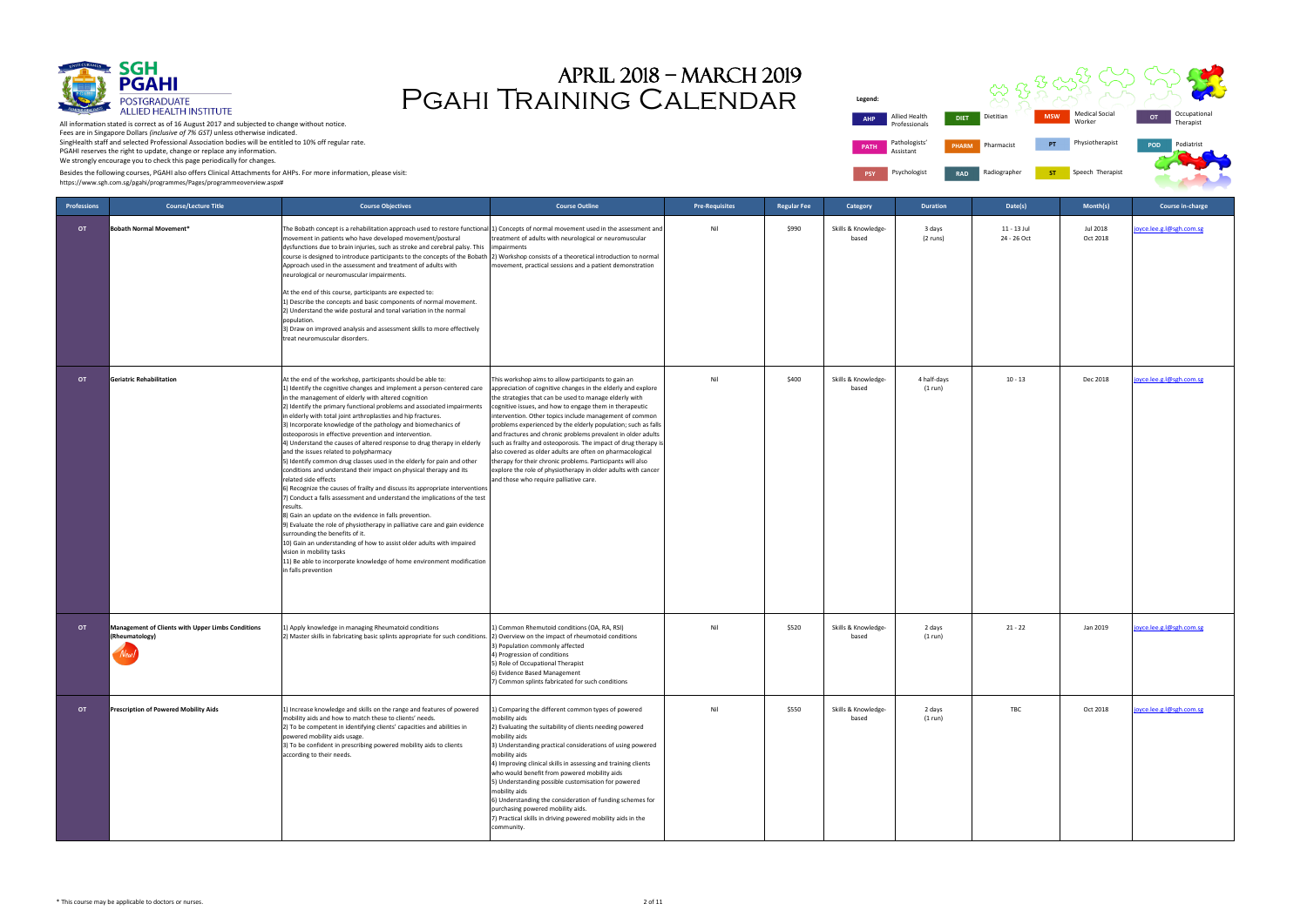

| gend:       |                                |              |              |            |                                 |            |                           |  |
|-------------|--------------------------------|--------------|--------------|------------|---------------------------------|------------|---------------------------|--|
| <b>AHP</b>  | Allied Health<br>Professionals | <b>DIET</b>  | Dietitian    | <b>MSW</b> | <b>Medical Social</b><br>Worker | <b>OT</b>  | Occupational<br>Therapist |  |
| <b>PATH</b> | Pathologists'<br>Assistant     | <b>PHARM</b> | Pharmacist   | PT         | Physiotherapist                 | <b>POD</b> | Podiatrist                |  |
| <b>PSY</b>  | Psychologist                   | <b>RAD</b>   | Radiographer | <b>ST</b>  | Speech Therapist                |            |                           |  |

# Pgahi Training Calendar April 2018 – march 2019

**DIET** Die **Legend: PATH** Pathologists Assistant **PSY** Psychologist **RAD** 

Besides the following courses, PGAHI also offers Clinical Attachments for AHPs. For more information, please visit:

| <b>Professions</b> | <b>Course/Lecture Title</b>                                         | <b>Course Objectives</b>                                                                                                                                                                                                                                                                                                                                                                                                                                                                                                                                                                                                                                                                                                                                                                                                                                                                                                                                                                                                                                                                                                                                                                                                                                                                                                 | <b>Course Outline</b>                                                                                                                                                                                                                                                                                                                                                                                                                                                                                                                                                                                                                                                                                                                        | <b>Pre-Requisites</b> | <b>Regular Fee</b> | Category                     | <b>Duration</b>        | Date(s)                    | Month(s)             | Course in-charge         |
|--------------------|---------------------------------------------------------------------|--------------------------------------------------------------------------------------------------------------------------------------------------------------------------------------------------------------------------------------------------------------------------------------------------------------------------------------------------------------------------------------------------------------------------------------------------------------------------------------------------------------------------------------------------------------------------------------------------------------------------------------------------------------------------------------------------------------------------------------------------------------------------------------------------------------------------------------------------------------------------------------------------------------------------------------------------------------------------------------------------------------------------------------------------------------------------------------------------------------------------------------------------------------------------------------------------------------------------------------------------------------------------------------------------------------------------|----------------------------------------------------------------------------------------------------------------------------------------------------------------------------------------------------------------------------------------------------------------------------------------------------------------------------------------------------------------------------------------------------------------------------------------------------------------------------------------------------------------------------------------------------------------------------------------------------------------------------------------------------------------------------------------------------------------------------------------------|-----------------------|--------------------|------------------------------|------------------------|----------------------------|----------------------|--------------------------|
| <b>OT</b>          | Bobath Normal Movement*                                             | The Bobath concept is a rehabilitation approach used to restore functional 1) Concepts of normal movement used in the assessment and<br>movement in patients who have developed movement/postural<br>dysfunctions due to brain injuries, such as stroke and cerebral palsy. This<br>course is designed to introduce participants to the concepts of the Bobath 2) Workshop consists of a theoretical introduction to normal<br>Approach used in the assessment and treatment of adults with<br>neurological or neuromuscular impairments.<br>At the end of this course, participants are expected to:<br>1) Describe the concepts and basic components of normal movement.<br>2) Understand the wide postural and tonal variation in the normal<br>population.<br>3) Draw on improved analysis and assessment skills to more effectively<br>treat neuromuscular disorders.                                                                                                                                                                                                                                                                                                                                                                                                                                               | treatment of adults with neurological or neuromuscular<br>impairments<br>movement, practical sessions and a patient demonstration                                                                                                                                                                                                                                                                                                                                                                                                                                                                                                                                                                                                            | Nil                   | \$990              | Skills & Knowledge-<br>based | 3 days<br>(2 runs)     | 11 - 13 Jul<br>24 - 26 Oct | Jul 2018<br>Oct 2018 | joyce.lee.g.l@sgh.com.sg |
| <b>OT</b>          | Geriatric Rehabilitation                                            | At the end of the workshop, participants should be able to:<br>1) Identify the cognitive changes and implement a person-centered care<br>in the management of elderly with altered cognition<br>2) Identify the primary functional problems and associated impairments<br>in elderly with total joint arthroplasties and hip fractures.<br>3) Incorporate knowledge of the pathology and biomechanics of<br>osteoporosis in effective prevention and intervention.<br>4) Understand the causes of altered response to drug therapy in elderly<br>and the issues related to polypharmacy<br>5) Identify common drug classes used in the elderly for pain and other<br>conditions and understand their impact on physical therapy and its<br>related side effects<br>6) Recognize the causes of frailty and discuss its appropriate interventions<br>7) Conduct a falls assessment and understand the implications of the test<br>results.<br>8) Gain an update on the evidence in falls prevention.<br>9) Evaluate the role of physiotherapy in palliative care and gain evidence<br>surrounding the benefits of it.<br>10) Gain an understanding of how to assist older adults with impaired<br>vision in mobility tasks<br>11) Be able to incorporate knowledge of home environment modification<br>in falls prevention | This workshop aims to allow participants to gain an<br>appreciation of cognitive changes in the elderly and explore<br>the strategies that can be used to manage elderly with<br>cognitive issues, and how to engage them in therapeutic<br>intervention. Other topics include management of common<br>problems experienced by the elderly population; such as falls<br>and fractures and chronic problems prevalent in older adults<br>such as frailty and osteoporosis. The impact of drug therapy i<br>also covered as older adults are often on pharmacological<br>therapy for their chronic problems. Participants will also<br>explore the role of physiotherapy in older adults with cancer<br>and those who require palliative care. | Nil                   | \$400              | Skills & Knowledge-<br>based | 4 half-days<br>(1 run) | $10 - 13$                  | Dec 2018             | oyce.lee.g.l@sgh.com.sg  |
| <b>OT</b>          | Management of Clients with Upper Limbs Conditions<br>(Rheumatology) | 1) Apply knowledge in managing Rheumatoid conditions<br>2) Master skills in fabricating basic splints appropriate for such conditions.                                                                                                                                                                                                                                                                                                                                                                                                                                                                                                                                                                                                                                                                                                                                                                                                                                                                                                                                                                                                                                                                                                                                                                                   | 1) Common Rhemutoid conditions (OA, RA, RSI)<br>2) Overview on the impact of rheumotoid conditions<br>3) Population commonly affected<br>4) Progression of conditions<br>5) Role of Occupational Therapist<br>6) Evidence Based Management<br>7) Common splints fabricated for such conditions                                                                                                                                                                                                                                                                                                                                                                                                                                               | Nil                   | \$520              | Skills & Knowledge-<br>based | 2 days<br>(1 run)      | $21 - 22$                  | Jan 2019             | oyce.lee.g.l@sgh.com.sg  |
| <b>OT</b>          | <b>Prescription of Powered Mobility Aids</b>                        | 1) Increase knowledge and skills on the range and features of powered<br>mobility aids and how to match these to clients' needs.<br>2) To be competent in identifying clients' capacities and abilities in<br>powered mobility aids usage.<br>3) To be confident in prescribing powered mobility aids to clients<br>according to their needs.                                                                                                                                                                                                                                                                                                                                                                                                                                                                                                                                                                                                                                                                                                                                                                                                                                                                                                                                                                            | L) Comparing the different common types of powered<br>mobility aids<br>2) Evaluating the suitability of clients needing powered<br>mobility aids<br>3) Understanding practical considerations of using powered<br>mobility aids<br>4) Improving clinical skills in assessing and training clients<br>who would benefit from powered mobility aids<br>5) Understanding possible customisation for powered<br>mobility aids<br>6) Understanding the consideration of funding schemes for<br>purchasing powered mobility aids.<br>7) Practical skills in driving powered mobility aids in the<br>community.                                                                                                                                     | Nil                   | \$550              | Skills & Knowledge-<br>based | 2 days<br>(1 run)      | TBC                        | Oct 2018             | joyce.lee.g.l@sgh.com.sg |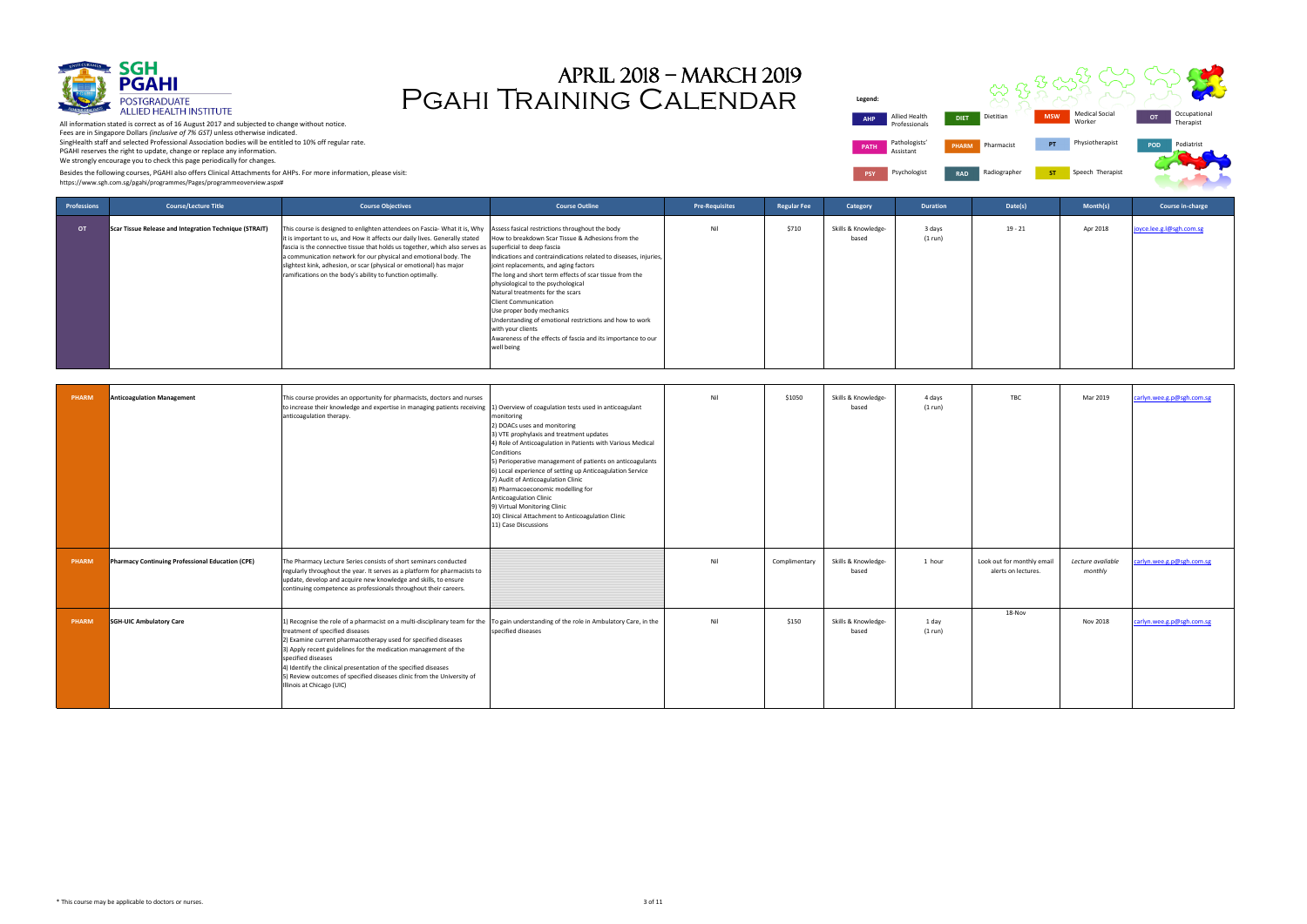

| gend:      |                                |              |              |            |                                 |            |                           |
|------------|--------------------------------|--------------|--------------|------------|---------------------------------|------------|---------------------------|
| <b>AHP</b> | Allied Health<br>Professionals | <b>DIET</b>  | Dietitian    | <b>MSW</b> | <b>Medical Social</b><br>Worker | OT         | Occupational<br>Therapist |
| PATH       | Pathologists'<br>Assistant     | <b>PHARM</b> | Pharmacist   | PT         | Physiotherapist                 | <b>POD</b> | Podiatrist                |
| <b>PSY</b> | Psychologist                   | <b>RAD</b>   | Radiographer | <b>ST</b>  | Speech Therapist                |            |                           |



# Pgahi Training Calendar April 2018 – march 2019

Besides the following courses, PGAHI also offers Clinical Attachments for AHPs. For more information, please visit:

| Professions | <b>Course/Lecture Title</b>                            | <b>Course Objectives</b>                                                                                                                                                                                                                                                                                                                                                                                                                                                                                                    | <b>Course Outline</b>                                                                                                                                                                                                                                                                                                                                                                                                                                                                                                         | <b>Pre-Requisites</b> | <b>Regular Fee</b> | Category                     | <b>Duration</b>   | Date(s)   | Month(s) | Course in-charge         |
|-------------|--------------------------------------------------------|-----------------------------------------------------------------------------------------------------------------------------------------------------------------------------------------------------------------------------------------------------------------------------------------------------------------------------------------------------------------------------------------------------------------------------------------------------------------------------------------------------------------------------|-------------------------------------------------------------------------------------------------------------------------------------------------------------------------------------------------------------------------------------------------------------------------------------------------------------------------------------------------------------------------------------------------------------------------------------------------------------------------------------------------------------------------------|-----------------------|--------------------|------------------------------|-------------------|-----------|----------|--------------------------|
| <b>OT</b>   | Scar Tissue Release and Integration Technique (STRAIT) | This course is designed to enlighten attendees on Fascia-What it is, Why Assess fasical restrictions throughout the body<br>It is important to us, and How it affects our daily lives. Generally stated<br>fascia is the connective tissue that holds us together, which also serves as superficial to deep fascia<br>a communication network for our physical and emotional body. The<br>slightest kink, adhesion, or scar (physical or emotional) has major<br>ramifications on the body's ability to function optimally. | How to breakdown Scar Tissue & Adhesions from the<br>Indications and contraindications related to diseases, injuries,<br>joint replacements, and aging factors<br>The long and short term effects of scar tissue from the<br>physiological to the psychological<br>Natural treatments for the scars<br><b>Client Communication</b><br>Use proper body mechanics<br>Understanding of emotional restrictions and how to work<br>with your clients<br>Awareness of the effects of fascia and its importance to our<br>well being | Nil                   | \$710              | Skills & Knowledge-<br>based | 3 days<br>(1 run) | $19 - 21$ | Apr 2018 | joyce.lee.g.l@sgh.com.sg |

| <b>PHARM</b> | <b>Anticoagulation Management</b>                | This course provides an opportunity for pharmacists, doctors and nurses<br>to increase their knowledge and expertise in managing patients receiving<br>anticoagulation therapy.                                                                                                                                                                                                                                                                                                                                 | 1) Overview of coagulation tests used in anticoagulant<br>monitoring<br>2) DOACs uses and monitoring<br>3) VTE prophylaxis and treatment updates<br>4) Role of Anticoagulation in Patients with Various Medical<br>Conditions<br>5) Perioperative management of patients on anticoagulants<br>6) Local experience of setting up Anticoagulation Service<br>7) Audit of Anticoagulation Clinic<br>8) Pharmacoeconomic modelling for<br>Anticoagulation Clinic<br>9) Virtual Monitoring Clinic<br>10) Clinical Attachment to Anticoagulation Clinic<br>11) Case Discussions | Nil | \$1050        | Skills & Knowledge-<br>based | 4 days<br>(1 run) | <b>TBC</b>                                        | Mar 2019                     | carlyn.wee.g.p@sgh.com.sg |
|--------------|--------------------------------------------------|-----------------------------------------------------------------------------------------------------------------------------------------------------------------------------------------------------------------------------------------------------------------------------------------------------------------------------------------------------------------------------------------------------------------------------------------------------------------------------------------------------------------|---------------------------------------------------------------------------------------------------------------------------------------------------------------------------------------------------------------------------------------------------------------------------------------------------------------------------------------------------------------------------------------------------------------------------------------------------------------------------------------------------------------------------------------------------------------------------|-----|---------------|------------------------------|-------------------|---------------------------------------------------|------------------------------|---------------------------|
| PHARM        | Pharmacy Continuing Professional Education (CPE) | The Pharmacy Lecture Series consists of short seminars conducted<br>regularly throughout the year. It serves as a platform for pharmacists to<br>update, develop and acquire new knowledge and skills, to ensure<br>continuing competence as professionals throughout their careers.                                                                                                                                                                                                                            |                                                                                                                                                                                                                                                                                                                                                                                                                                                                                                                                                                           | Nil | Complimentary | Skills & Knowledge-<br>based | 1 hour            | Look out for monthly email<br>alerts on lectures. | Lecture available<br>monthly | carlyn.wee.g.p@sgh.com.sg |
| <b>PHARM</b> | <b>SGH-UIC Ambulatory Care</b>                   | 1) Recognise the role of a pharmacist on a multi-disciplinary team for the To gain understanding of the role in Ambulatory Care, in the<br>treatment of specified diseases<br>2) Examine current pharmacotherapy used for specified diseases<br>3) Apply recent guidelines for the medication management of the<br>specified diseases<br>4) Identify the clinical presentation of the specified diseases<br>5) Review outcomes of specified diseases clinic from the University of<br>Illinois at Chicago (UIC) | specified diseases                                                                                                                                                                                                                                                                                                                                                                                                                                                                                                                                                        | Nil | \$150         | Skills & Knowledge-<br>based | 1 day<br>(1 run)  | 18-Nov                                            | Nov 2018                     | carlyn.wee.g.p@sgh.com.sg |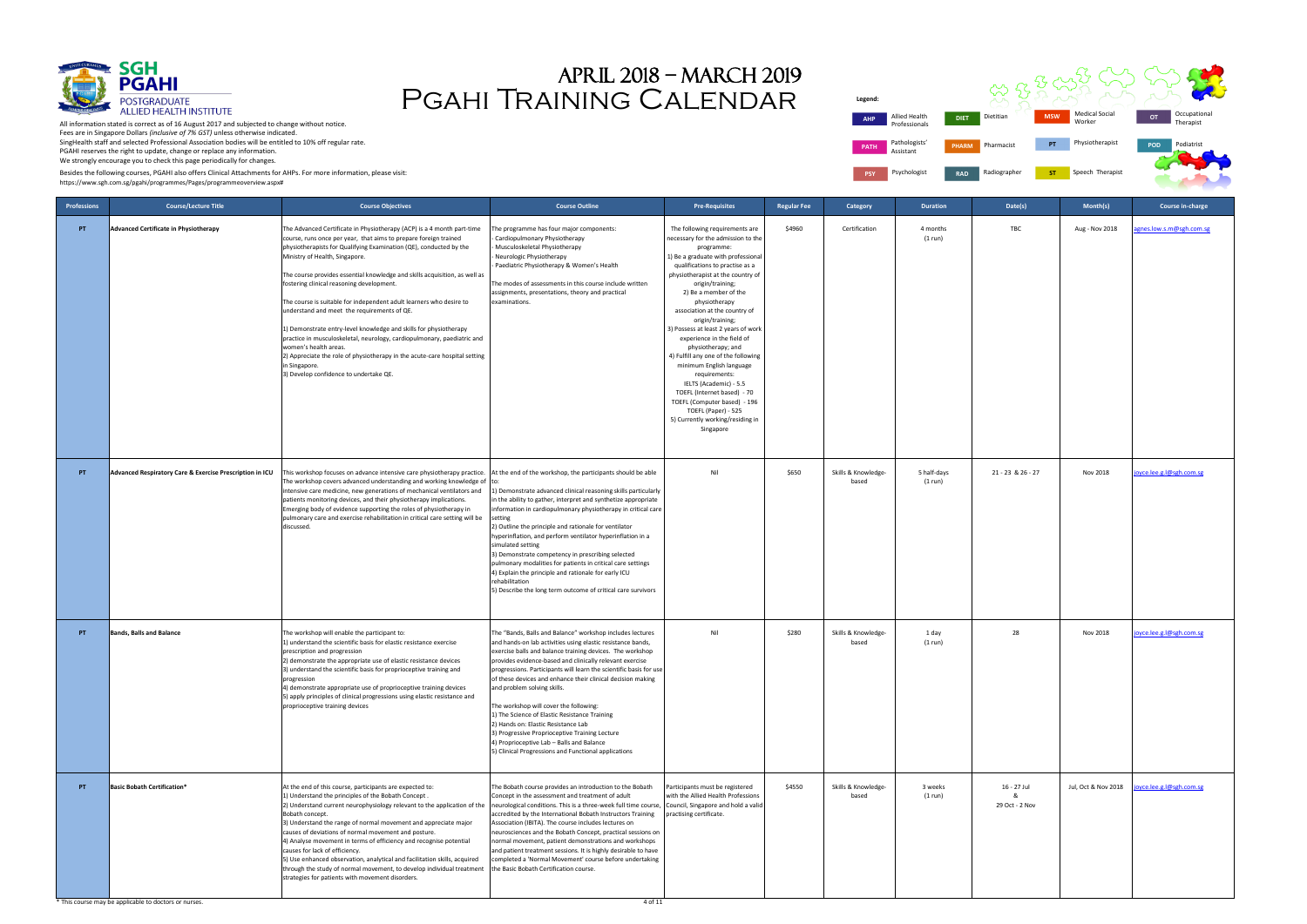

| <b>DIET</b>  | Dietitian    | <b>MSW</b> | <b>Medical Social</b><br>Worker | OT         | Occupational<br>Therapist |
|--------------|--------------|------------|---------------------------------|------------|---------------------------|
| <b>PHARM</b> | Pharmacist   | PT         | Physiotherapist                 | <b>POD</b> | Podiatrist                |
| <b>RAD</b>   | Radiographer | <b>ST</b>  | Speech Therapist                |            |                           |

# Pgahi Training Calendar April 2018 – march 2019

Allied Health Professionals **Legend: AHP Allied Health DIET Di PATH** Pathologists Assistant **PSY** Psychologist **RAD** 

Besides the following courses, PGAHI also offers Clinical Attachments for AHPs. For more information, please visit:

| <b>Professions</b> | <b>Course/Lecture Title</b>                              | <b>Course Objectives</b>                                                                                                                                                                                                                                                                                                                                                                                                                                                                                                                                                                                                                                                                                                                                                                                              | <b>Course Outline</b>                                                                                                                                                                                                                                                                                                                                                                                                                                                                                                                                                                                                                                                                                          | <b>Pre-Requisites</b>                                                                                                                                                                                                                                                                                                                                                                                                                                                                                                                                                                                                                                               | <b>Regular Fee</b> | Category                     | <b>Duration</b>        | Date(s)                            | Month(s)            | Course in-charge         |
|--------------------|----------------------------------------------------------|-----------------------------------------------------------------------------------------------------------------------------------------------------------------------------------------------------------------------------------------------------------------------------------------------------------------------------------------------------------------------------------------------------------------------------------------------------------------------------------------------------------------------------------------------------------------------------------------------------------------------------------------------------------------------------------------------------------------------------------------------------------------------------------------------------------------------|----------------------------------------------------------------------------------------------------------------------------------------------------------------------------------------------------------------------------------------------------------------------------------------------------------------------------------------------------------------------------------------------------------------------------------------------------------------------------------------------------------------------------------------------------------------------------------------------------------------------------------------------------------------------------------------------------------------|---------------------------------------------------------------------------------------------------------------------------------------------------------------------------------------------------------------------------------------------------------------------------------------------------------------------------------------------------------------------------------------------------------------------------------------------------------------------------------------------------------------------------------------------------------------------------------------------------------------------------------------------------------------------|--------------------|------------------------------|------------------------|------------------------------------|---------------------|--------------------------|
| PT                 | <b>Advanced Certificate in Physiotherapy</b>             | The Advanced Certificate in Physiotherapy (ACP) is a 4 month part-time<br>course, runs once per year, that aims to prepare foreign trained<br>physiotherapists for Qualifying Examination (QE), conducted by the<br>Ministry of Health, Singapore.<br>The course provides essential knowledge and skills acquisition, as well as<br>fostering clinical reasoning development.<br>The course is suitable for independent adult learners who desire to<br>understand and meet the requirements of QE.<br>1) Demonstrate entry-level knowledge and skills for physiotherapy<br>practice in musculoskeletal, neurology, cardiopulmonary, paediatric and<br>women's health areas.<br>2) Appreciate the role of physiotherapy in the acute-care hospital setting<br>in Singapore.<br>3) Develop confidence to undertake QE. | The programme has four major components:<br>Cardiopulmonary Physiotherapy<br>- Musculoskeletal Physiotherapy<br>Neurologic Physiotherapy<br>Paediatric Physiotherapy & Women's Health<br>The modes of assessments in this course include written<br>assignments, presentations, theory and practical<br>examinations.                                                                                                                                                                                                                                                                                                                                                                                          | The following requirements are<br>necessary for the admission to the<br>programme:<br>1) Be a graduate with professional<br>qualifications to practise as a<br>physiotherapist at the country of<br>origin/training;<br>2) Be a member of the<br>physiotherapy<br>association at the country of<br>origin/training;<br>3) Possess at least 2 years of work<br>experience in the field of<br>physiotherapy; and<br>4) Fulfill any one of the following<br>minimum English language<br>requirements:<br>IELTS (Academic) - 5.5<br>TOEFL (Internet based) - 70<br>TOEFL (Computer based) - 196<br>TOEFL (Paper) - 525<br>5) Currently working/residing in<br>Singapore | \$4960             | Certification                | 4 months<br>(1 run)    | TBC                                | Aug - Nov 2018      | gnes.low.s.m@sgh.com.sg  |
| PT                 | Advanced Respiratory Care & Exercise Prescription in ICU | This workshop focuses on advance intensive care physiotherapy practice.<br>The workshop covers advanced understanding and working knowledge of to:<br>intensive care medicine, new generations of mechanical ventilators and<br>patients monitoring devices, and their physiotherapy implications.<br>Emerging body of evidence supporting the roles of physiotherapy in<br>pulmonary care and exercise rehabilitation in critical care setting will be<br>discussed.                                                                                                                                                                                                                                                                                                                                                 | At the end of the workshop, the participants should be able<br>.) Demonstrate advanced clinical reasoning skills particularly<br>in the ability to gather, interpret and synthetize appropriate<br>information in cardiopulmonary physiotherapy in critical care<br>setting<br>2) Outline the principle and rationale for ventilator<br>hyperinflation, and perform ventilator hyperinflation in a<br>simulated setting<br>3) Demonstrate competency in prescribing selected<br>pulmonary modalities for patients in critical care settings<br>4) Explain the principle and rationale for early ICU<br>rehabilitation<br>5) Describe the long term outcome of critical care survivors                          | Nil                                                                                                                                                                                                                                                                                                                                                                                                                                                                                                                                                                                                                                                                 | \$650              | Skills & Knowledge-<br>based | 5 half-days<br>(1 run) | 21 - 23 & 26 - 27                  | Nov 2018            | oyce.lee.g.l@sgh.com.sg  |
| PT                 | <b>Bands, Balls and Balance</b>                          | The workshop will enable the participant to:<br>1) understand the scientific basis for elastic resistance exercise<br>prescription and progression<br>2) demonstrate the appropriate use of elastic resistance devices<br>3) understand the scientific basis for proprioceptive training and<br>progression<br>4) demonstrate appropriate use of proprioceptive training devices<br>5) apply principles of clinical progressions using elastic resistance and<br>proprioceptive training devices                                                                                                                                                                                                                                                                                                                      | The "Bands, Balls and Balance" workshop includes lectures<br>and hands-on lab activities using elastic resistance bands,<br>exercise balls and balance training devices. The workshop<br>provides evidence-based and clinically relevant exercise<br>progressions. Participants will learn the scientific basis for use<br>of these devices and enhance their clinical decision making<br>and problem solving skills.<br>The workshop will cover the following:<br>1) The Science of Elastic Resistance Training<br>2) Hands on: Elastic Resistance Lab<br>3) Progressive Proprioceptive Training Lecture<br>4) Proprioceptive Lab - Balls and Balance<br>5) Clinical Progressions and Functional applications | Nil                                                                                                                                                                                                                                                                                                                                                                                                                                                                                                                                                                                                                                                                 | \$280              | Skills & Knowledge-<br>based | 1 day<br>(1 run)       | 28                                 | Nov 2018            | oyce.lee.g.l@sgh.com.sg  |
| PT                 | <b>Basic Bobath Certification*</b>                       | At the end of this course, participants are expected to:<br>1) Understand the principles of the Bobath Concept.<br>2) Understand current neurophysiology relevant to the application of the<br>Bobath concept.<br>3) Understand the range of normal movement and appreciate major<br>causes of deviations of normal movement and posture.<br>4) Analyse movement in terms of efficiency and recognise potential<br>causes for lack of efficiency.<br>5) Use enhanced observation, analytical and facilitation skills, acquired<br>through the study of normal movement, to develop individual treatment<br>strategies for patients with movement disorders.                                                                                                                                                           | The Bobath course provides an introduction to the Bobath<br>Concept in the assessment and treatment of adult<br>neurological conditions. This is a three-week full time course, Council, Singapore and hold a valid<br>accredited by the International Bobath Instructors Training<br>Association (IBITA). The course includes lectures on<br>neurosciences and the Bobath Concept, practical sessions on<br>normal movement, patient demonstrations and workshops<br>and patient treatment sessions. It is highly desirable to have<br>completed a 'Normal Movement' course before undertaking<br>the Basic Bobath Certification course.                                                                      | Participants must be registered<br>with the Allied Health Professions<br>practising certificate.                                                                                                                                                                                                                                                                                                                                                                                                                                                                                                                                                                    | \$4550             | Skills & Knowledge-<br>based | 3 weeks<br>(1 run)     | 16 - 27 Jul<br>&<br>29 Oct - 2 Nov | Jul, Oct & Nov 2018 | joyce.lee.g.l@sgh.com.sg |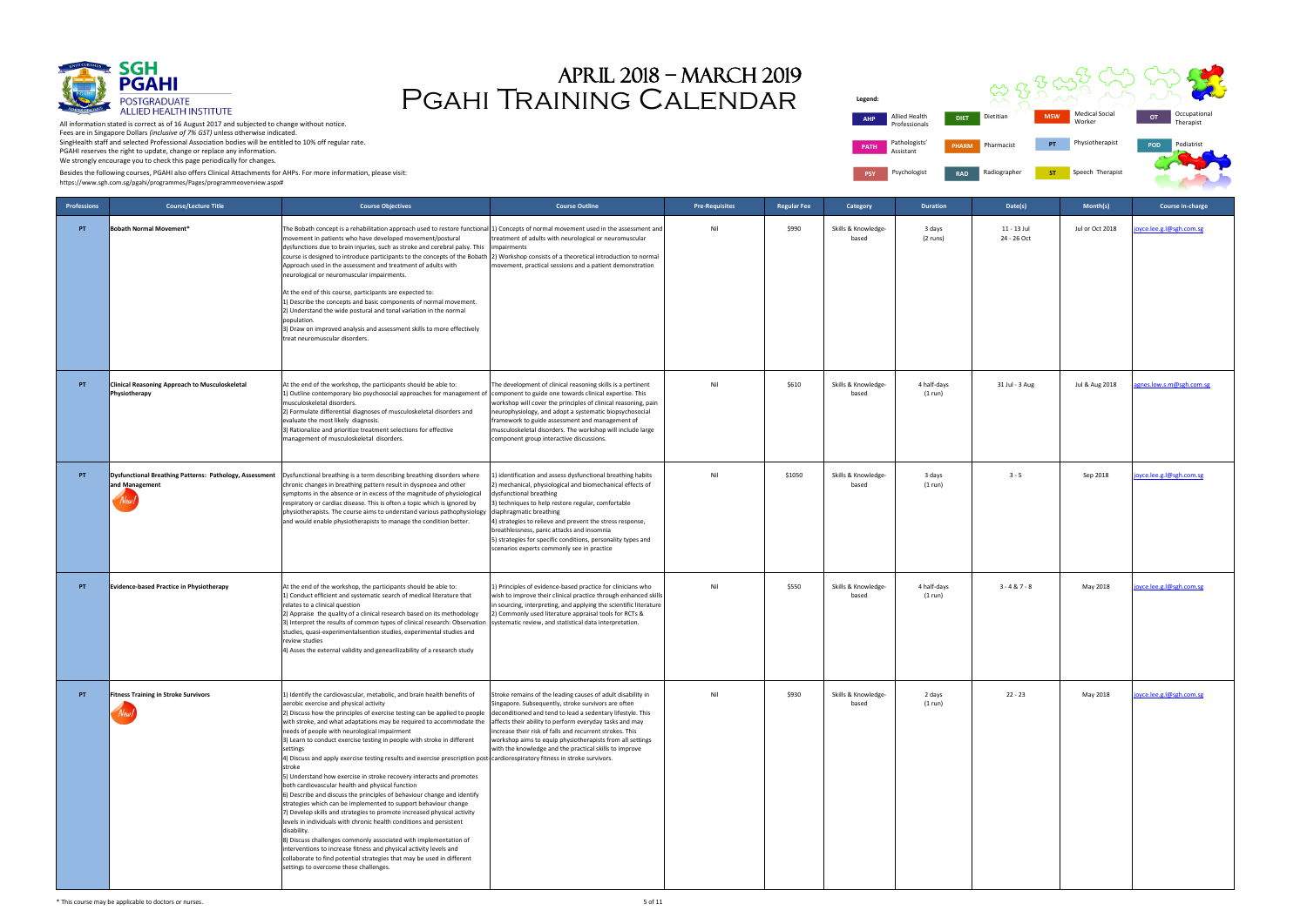

**Legend: PATH** Pathologists Assistant **PSY** Psychologist **RAD** 

All information stated is correct as of 16 August 2017 and subjected to change without notice. Fees are in Singapore Dollars *(inclusive of 7% GST)* unless otherwise indicated. SingHealth staff and selected Professional Association bodies will be entitled to 10% off regular rate. PGAHI reserves the right to update, change or replace any information. We strongly encourage you to check this page periodically for changes.

| gend:      |                                |              |              |            |                                 |     |                           |
|------------|--------------------------------|--------------|--------------|------------|---------------------------------|-----|---------------------------|
| <b>AHP</b> | Allied Health<br>Professionals | <b>DIET</b>  | Dietitian    | <b>MSW</b> | <b>Medical Social</b><br>Worker | OT  | Occupational<br>Therapist |
| PATH       | Pathologists'<br>Assistant     | <b>PHARM</b> | Pharmacist   | PT         | Physiotherapist                 | POD | Podiatrist                |
| <b>PSY</b> | Psychologist                   | <b>RAD</b>   | Radiographer | <b>ST</b>  | Speech Therapist                |     |                           |

Pgahi Training Calendar April 2018 – march 2019

Besides the following courses, PGAHI also offers Clinical Attachments for AHPs. For more information, please visit:

| <b>Professions</b> | <b>Course/Lecture Title</b>                                                       | <b>Course Objectives</b>                                                                                                                                                                                                                                                                                                                                                                                                                                                                                                                                                                                                                                                                                                                                                                                                                                                                                                                                                                                                                                                                                                                                                                                                                                         | <b>Course Outline</b>                                                                                                                                                                                                                                                                                                                                                                                                                                         | <b>Pre-Requisites</b> | <b>Regular Fee</b> | Category                     | <b>Duration</b>        | Date(s)                    | Month(s)        | Course in-charge         |
|--------------------|-----------------------------------------------------------------------------------|------------------------------------------------------------------------------------------------------------------------------------------------------------------------------------------------------------------------------------------------------------------------------------------------------------------------------------------------------------------------------------------------------------------------------------------------------------------------------------------------------------------------------------------------------------------------------------------------------------------------------------------------------------------------------------------------------------------------------------------------------------------------------------------------------------------------------------------------------------------------------------------------------------------------------------------------------------------------------------------------------------------------------------------------------------------------------------------------------------------------------------------------------------------------------------------------------------------------------------------------------------------|---------------------------------------------------------------------------------------------------------------------------------------------------------------------------------------------------------------------------------------------------------------------------------------------------------------------------------------------------------------------------------------------------------------------------------------------------------------|-----------------------|--------------------|------------------------------|------------------------|----------------------------|-----------------|--------------------------|
| PT.                | <b>Bobath Normal Movement*</b>                                                    | The Bobath concept is a rehabilitation approach used to restore functional 1) Concepts of normal movement used in the assessment and<br>movement in patients who have developed movement/postural<br>dysfunctions due to brain injuries, such as stroke and cerebral palsy. This<br>course is designed to introduce participants to the concepts of the Bobath<br>Approach used in the assessment and treatment of adults with<br>neurological or neuromuscular impairments.<br>At the end of this course, participants are expected to:<br>1) Describe the concepts and basic components of normal movement.<br>2) Understand the wide postural and tonal variation in the normal<br>population.<br>3) Draw on improved analysis and assessment skills to more effectively<br>treat neuromuscular disorders.                                                                                                                                                                                                                                                                                                                                                                                                                                                    | treatment of adults with neurological or neuromuscular<br>impairments<br>2) Workshop consists of a theoretical introduction to normal<br>movement, practical sessions and a patient demonstration                                                                                                                                                                                                                                                             | Nil                   | \$990              | Skills & Knowledge-<br>based | 3 days<br>(2 runs)     | 11 - 13 Jul<br>24 - 26 Oct | Jul or Oct 2018 | oyce.lee.g.l@sgh.com.sg  |
| PT.                | <b>Clinical Reasoning Approach to Musculoskeletal</b><br>Physiotherapy            | At the end of the workshop, the participants should be able to:<br>1) Outline contemporary bio psychosocial approaches for management of component to guide one towards clinical expertise. This<br>musculoskeletal disorders.<br>2) Formulate differential diagnoses of musculoskeletal disorders and<br>evaluate the most likely diagnosis.<br>3) Rationalize and prioritize treatment selections for effective<br>management of musculoskeletal disorders.                                                                                                                                                                                                                                                                                                                                                                                                                                                                                                                                                                                                                                                                                                                                                                                                    | The development of clinical reasoning skills is a pertinent<br>workshop will cover the principles of clinical reasoning, pain<br>neurophysiology, and adopt a systematic biopsychosocial<br>framework to guide assessment and management of<br>musculoskeletal disorders. The workshop will include large<br>component group interactive discussions.                                                                                                         | Nil                   | \$610              | Skills & Knowledge-<br>based | 4 half-days<br>(1 run) | 31 Jul - 3 Aug             | Jul & Aug 2018  | agnes.low.s.m@sgh.com.sg |
| PT.                | Dysfunctional Breathing Patterns: Pathology, Assessment<br>and Management<br>New: | Dysfunctional breathing is a term describing breathing disorders where<br>chronic changes in breathing pattern result in dyspnoea and other<br>symptoms in the absence or in excess of the magnitude of physiological<br>respiratory or cardiac disease. This is often a topic which is ignored by<br>physiotherapists. The course aims to understand various pathophysiology<br>and would enable physiotherapists to manage the condition better.                                                                                                                                                                                                                                                                                                                                                                                                                                                                                                                                                                                                                                                                                                                                                                                                               | L) identification and assess dysfunctional breathing habits<br>2) mechanical, physiological and biomechanical effects of<br>dysfunctional breathing<br>3) techniques to help restore regular, comfortable<br>diaphragmatic breathing<br>4) strategies to relieve and prevent the stress response,<br>breathlessness, panic attacks and insomnia<br>5) strategies for specific conditions, personality types and<br>scenarios experts commonly see in practice | Nil                   | \$1050             | Skills & Knowledge-<br>based | 3 days<br>(1 run)      | $3 - 5$                    | Sep 2018        | joyce.lee.g.l@sgh.com.sg |
| PT.                | Evidence-based Practice in Physiotherapy                                          | At the end of the workshop, the participants should be able to:<br>1) Conduct efficient and systematic search of medical literature that<br>relates to a clinical question<br>2) Appraise the quality of a clinical research based on its methodology<br>3) Interpret the results of common types of clinical research: Observation<br>studies, quasi-experimentalsention studies, experimental studies and<br>review studies<br>4) Asses the external validity and genearilizability of a research study                                                                                                                                                                                                                                                                                                                                                                                                                                                                                                                                                                                                                                                                                                                                                        | 1) Principles of evidence-based practice for clinicians who<br>wish to improve their clinical practice through enhanced skills<br>in sourcing, interpreting, and applying the scientific literature<br>2) Commonly used literature appraisal tools for RCTs &<br>systematic review, and statistical data interpretation.                                                                                                                                      | Nil                   | \$550              | Skills & Knowledge-<br>based | 4 half-days<br>(1 run) | $3 - 4 & 7 - 8$            | May 2018        | joyce.lee.g.l@sgh.com.sg |
| PT.                | <b>Fitness Training in Stroke Survivors</b>                                       | 1) Identify the cardiovascular, metabolic, and brain health benefits of<br>aerobic exercise and physical activity<br>2) Discuss how the principles of exercise testing can be applied to people<br>with stroke, and what adaptations may be required to accommodate the<br>needs of people with neurological impairment<br>3) Learn to conduct exercise testing in people with stroke in different<br>settings<br>4) Discuss and apply exercise testing results and exercise prescription post-cardiorespiratory fitness in stroke survivors.<br>stroke<br>5) Understand how exercise in stroke recovery interacts and promotes<br>both cardiovascular health and physical function<br>6) Describe and discuss the principles of behaviour change and identify<br>strategies which can be implemented to support behaviour change<br>7) Develop skills and strategies to promote increased physical activity<br>levels in individuals with chronic health conditions and persistent<br>disability.<br>8) Discuss challenges commonly associated with implementation of<br>interventions to increase fitness and physical activity levels and<br>collaborate to find potential strategies that may be used in different<br>settings to overcome these challenges. | Stroke remains of the leading causes of adult disability in<br>Singapore. Subsequently, stroke survivors are often<br>deconditioned and tend to lead a sedentary lifestyle. This<br>affects their ability to perform everyday tasks and may<br>increase their risk of falls and recurrent strokes. This<br>workshop aims to equip physiotherapists from all settings<br>with the knowledge and the practical skills to improve                                | Nil                   | \$930              | Skills & Knowledge-<br>based | 2 days<br>(1 run)      | $22 - 23$                  | May 2018        | joyce.lee.g.l@sgh.com.sg |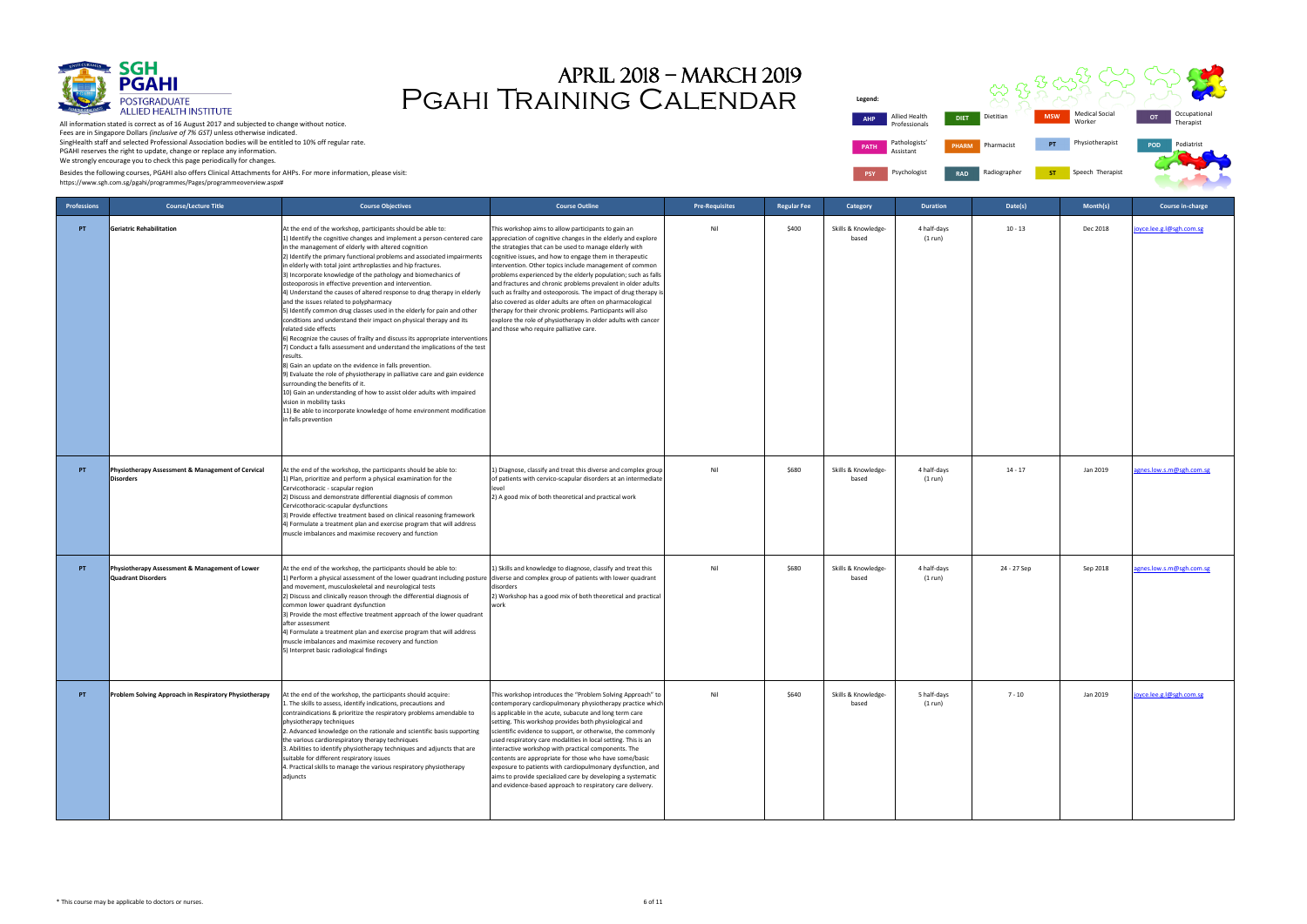

| gend:       |                                |              |              |            |                                 |            |                           |  |
|-------------|--------------------------------|--------------|--------------|------------|---------------------------------|------------|---------------------------|--|
| <b>AHP</b>  | Allied Health<br>Professionals | <b>DIET</b>  | Dietitian    | <b>MSW</b> | <b>Medical Social</b><br>Worker | OT         | Occupational<br>Therapist |  |
| <b>PATH</b> | Pathologists'<br>Assistant     | <b>PHARM</b> | Pharmacist   | PT         | Physiotherapist                 | <b>POD</b> | Podiatrist                |  |
| <b>PSY</b>  | Psychologist                   | <b>RAD</b>   | Radiographer | <b>ST</b>  | Speech Therapist                |            |                           |  |



# Pgahi Training Calendar April 2018 – march 2019

Besides the following courses, PGAHI also offers Clinical Attachments for AHPs. For more information, please visit:

| <b>Professions</b> | <b>Course/Lecture Title</b>                                                 | <b>Course Objectives</b>                                                                                                                                                                                                                                                                                                                                                                                                                                                                                                                                                                                                                                                                                                                                                                                                                                                                                                                                                                                                                                                                                                                                                                                                                                                                                                 | <b>Course Outline</b>                                                                                                                                                                                                                                                                                                                                                                                                                                                                                                                                                                                                                                                                                                                         | <b>Pre-Requisites</b> | Regular Fee | Category                     | <b>Duration</b>        | Date(s)     | Month(s) | Course in-charge         |
|--------------------|-----------------------------------------------------------------------------|--------------------------------------------------------------------------------------------------------------------------------------------------------------------------------------------------------------------------------------------------------------------------------------------------------------------------------------------------------------------------------------------------------------------------------------------------------------------------------------------------------------------------------------------------------------------------------------------------------------------------------------------------------------------------------------------------------------------------------------------------------------------------------------------------------------------------------------------------------------------------------------------------------------------------------------------------------------------------------------------------------------------------------------------------------------------------------------------------------------------------------------------------------------------------------------------------------------------------------------------------------------------------------------------------------------------------|-----------------------------------------------------------------------------------------------------------------------------------------------------------------------------------------------------------------------------------------------------------------------------------------------------------------------------------------------------------------------------------------------------------------------------------------------------------------------------------------------------------------------------------------------------------------------------------------------------------------------------------------------------------------------------------------------------------------------------------------------|-----------------------|-------------|------------------------------|------------------------|-------------|----------|--------------------------|
| PT.                | <b>Geriatric Rehabilitation</b>                                             | At the end of the workshop, participants should be able to:<br>1) Identify the cognitive changes and implement a person-centered care<br>in the management of elderly with altered cognition<br>2) Identify the primary functional problems and associated impairments<br>in elderly with total joint arthroplasties and hip fractures.<br>3) Incorporate knowledge of the pathology and biomechanics of<br>osteoporosis in effective prevention and intervention.<br>4) Understand the causes of altered response to drug therapy in elderly<br>and the issues related to polypharmacy<br>5) Identify common drug classes used in the elderly for pain and other<br>conditions and understand their impact on physical therapy and its<br>related side effects<br>6) Recognize the causes of frailty and discuss its appropriate interventions<br>7) Conduct a falls assessment and understand the implications of the test<br>results.<br>8) Gain an update on the evidence in falls prevention.<br>9) Evaluate the role of physiotherapy in palliative care and gain evidence<br>surrounding the benefits of it.<br>10) Gain an understanding of how to assist older adults with impaired<br>vision in mobility tasks<br>11) Be able to incorporate knowledge of home environment modification<br>in falls prevention | This workshop aims to allow participants to gain an<br>appreciation of cognitive changes in the elderly and explore<br>the strategies that can be used to manage elderly with<br>cognitive issues, and how to engage them in therapeutic<br>intervention. Other topics include management of common<br>problems experienced by the elderly population; such as falls<br>and fractures and chronic problems prevalent in older adults<br>such as frailty and osteoporosis. The impact of drug therapy is<br>also covered as older adults are often on pharmacological<br>therapy for their chronic problems. Participants will also<br>explore the role of physiotherapy in older adults with cancer<br>and those who require palliative care. | Nil                   | \$400       | Skills & Knowledge-<br>based | 4 half-days<br>(1 run) | $10 - 13$   | Dec 2018 | byce.lee.g.l@sgh.com.sg  |
| PT.                | Physiotherapy Assessment & Management of Cervical<br><b>Disorders</b>       | At the end of the workshop, the participants should be able to:<br>1) Plan, prioritize and perform a physical examination for the<br>Cervicothoracic - scapular region<br>2) Discuss and demonstrate differential diagnosis of common<br>Cervicothoracic-scapular dysfunctions<br>3) Provide effective treatment based on clinical reasoning framework<br>4) Formulate a treatment plan and exercise program that will address<br>muscle imbalances and maximise recovery and function                                                                                                                                                                                                                                                                                                                                                                                                                                                                                                                                                                                                                                                                                                                                                                                                                                   | 1) Diagnose, classify and treat this diverse and complex group<br>of patients with cervico-scapular disorders at an intermediate<br>level<br>2) A good mix of both theoretical and practical work                                                                                                                                                                                                                                                                                                                                                                                                                                                                                                                                             | Nil                   | \$680       | Skills & Knowledge-<br>based | 4 half-days<br>(1 run) | $14 - 17$   | Jan 2019 | agnes.low.s.m@sgh.com.sg |
| PT.                | Physiotherapy Assessment & Management of Lower<br><b>Quadrant Disorders</b> | At the end of the workshop, the participants should be able to:<br>1) Perform a physical assessment of the lower quadrant including posture<br>and movement, musculoskeletal and neurological tests<br>2) Discuss and clinically reason through the differential diagnosis of<br>common lower quadrant dysfunction<br>3) Provide the most effective treatment approach of the lower quadrant<br>after assessment<br>4) Formulate a treatment plan and exercise program that will address<br>muscle imbalances and maximise recovery and function<br>5) Interpret basic radiological findings                                                                                                                                                                                                                                                                                                                                                                                                                                                                                                                                                                                                                                                                                                                             | 1) Skills and knowledge to diagnose, classify and treat this<br>diverse and complex group of patients with lower quadrant<br>disorders<br>2) Workshop has a good mix of both theoretical and practical<br>work                                                                                                                                                                                                                                                                                                                                                                                                                                                                                                                                | Nil                   | \$680       | Skills & Knowledge-<br>based | 4 half-days<br>(1 run) | 24 - 27 Sep | Sep 2018 | gnes.low.s.m@sgh.com.sg  |
| PT.                | Problem Solving Approach in Respiratory Physiotherapy                       | At the end of the workshop, the participants should acquire:<br>1. The skills to assess, identify indications, precautions and<br>contraindications & prioritize the respiratory problems amendable to<br>physiotherapy techniques<br>2. Advanced knowledge on the rationale and scientific basis supporting<br>the various cardiorespiratory therapy techniques<br>3. Abilities to identify physiotherapy techniques and adjuncts that are<br>suitable for different respiratory issues<br>4. Practical skills to manage the various respiratory physiotherapy<br>adjuncts                                                                                                                                                                                                                                                                                                                                                                                                                                                                                                                                                                                                                                                                                                                                              | This workshop introduces the "Problem Solving Approach" to<br>contemporary cardiopulmonary physiotherapy practice which<br>is applicable in the acute, subacute and long term care<br>setting. This workshop provides both physiological and<br>scientific evidence to support, or otherwise, the commonly<br>used respiratory care modalities in local setting. This is an<br>interactive workshop with practical components. The<br>contents are appropriate for those who have some/basic<br>exposure to patients with cardiopulmonary dysfunction, and<br>aims to provide specialized care by developing a systematic<br>and evidence-based approach to respiratory care delivery.                                                        | Nil                   | \$640       | Skills & Knowledge-<br>based | 5 half-days<br>(1 run) | $7 - 10$    | Jan 2019 | byce.lee.g.l@sgh.com.sg  |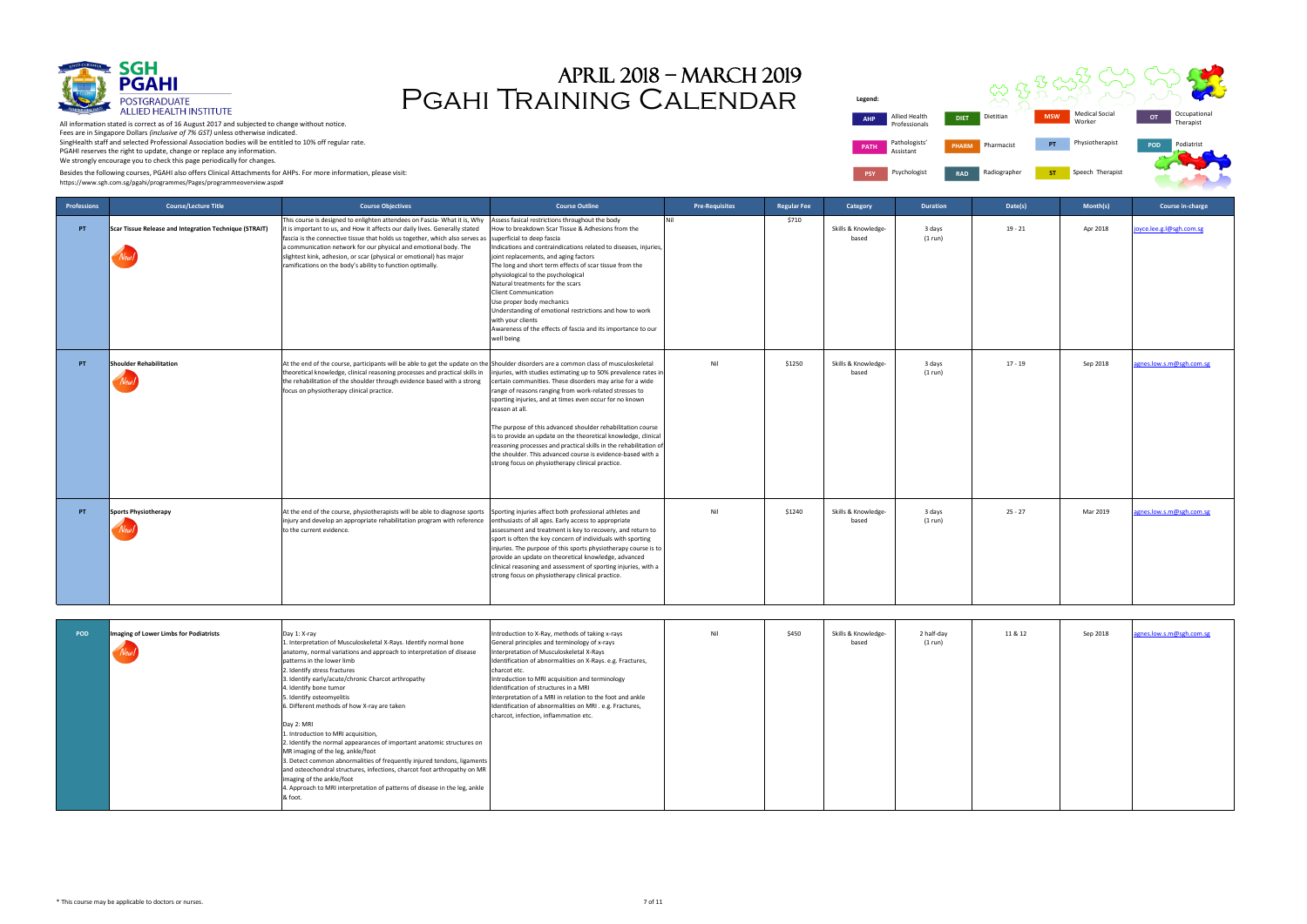

| gend:       |                                |              |              |            |                                 |            |                           |
|-------------|--------------------------------|--------------|--------------|------------|---------------------------------|------------|---------------------------|
| <b>AHP</b>  | Allied Health<br>Professionals | <b>DIET</b>  | Dietitian    | <b>MSW</b> | <b>Medical Social</b><br>Worker | OT         | Occupational<br>Therapist |
| <b>PATH</b> | Pathologists'<br>Assistant     | <b>PHARM</b> | Pharmacist   | PT         | Physiotherapist                 | <b>POD</b> | Podiatrist                |
| <b>PSY</b>  | Psychologist                   | <b>RAD</b>   | Radiographer | <b>ST</b>  | Speech Therapist                |            |                           |



# Pgahi Training Calendar April 2018 – march 2019

Besides the following courses, PGAHI also offers Clinical Attachments for AHPs. For more information, please visit:

| Professions | <b>Course/Lecture Title</b>                            | <b>Course Objectives</b>                                                                                                                                                                                                                                                                                                                                                                                                                          | <b>Course Outline</b>                                                                                                                                                                                                                                                                                                                                                                                                                                                                                                                                                                                          | <b>Pre-Requisites</b> | <b>Regular Fee</b> | Category                     | <b>Duration</b>       | Date(s)   | Month(s) | Course in-charge         |
|-------------|--------------------------------------------------------|---------------------------------------------------------------------------------------------------------------------------------------------------------------------------------------------------------------------------------------------------------------------------------------------------------------------------------------------------------------------------------------------------------------------------------------------------|----------------------------------------------------------------------------------------------------------------------------------------------------------------------------------------------------------------------------------------------------------------------------------------------------------------------------------------------------------------------------------------------------------------------------------------------------------------------------------------------------------------------------------------------------------------------------------------------------------------|-----------------------|--------------------|------------------------------|-----------------------|-----------|----------|--------------------------|
| PT          | Scar Tissue Release and Integration Technique (STRAIT) | This course is designed to enlighten attendees on Fascia- What it is, Why<br>it is important to us, and How it affects our daily lives. Generally stated<br>fascia is the connective tissue that holds us together, which also serves as<br>a communication network for our physical and emotional body. The<br>slightest kink, adhesion, or scar (physical or emotional) has major<br>ramifications on the body's ability to function optimally. | Assess fasical restrictions throughout the body<br>How to breakdown Scar Tissue & Adhesions from the<br>superficial to deep fascia<br>Indications and contraindications related to diseases, injuries,<br>joint replacements, and aging factors<br>The long and short term effects of scar tissue from the<br>physiological to the psychological<br>Natural treatments for the scars<br><b>Client Communication</b><br>Use proper body mechanics<br>Understanding of emotional restrictions and how to work<br>with your clients<br>Awareness of the effects of fascia and its importance to our<br>well being | Nil                   | \$710              | Skills & Knowledge-<br>based | 3 days<br>(1 run)     | $19 - 21$ | Apr 2018 | oyce.lee.g.l@sgh.com.sg  |
| PT          | Shoulder Rehabilitation<br>New.                        | At the end of the course, participants will be able to get the update on the Shoulder disorders are a common class of musculoskeletal<br>theoretical knowledge, clinical reasoning processes and practical skills in<br>the rehabilitation of the shoulder through evidence based with a strong<br>focus on physiotherapy clinical practice.                                                                                                      | injuries, with studies estimating up to 50% prevalence rates in<br>certain communities. These disorders may arise for a wide<br>range of reasons ranging from work-related stresses to<br>sporting injuries, and at times even occur for no known<br>reason at all.<br>The purpose of this advanced shoulder rehabilitation course<br>is to provide an update on the theoretical knowledge, clinical<br>reasoning processes and practical skills in the rehabilitation of<br>the shoulder. This advanced course is evidence-based with a<br>strong focus on physiotherapy clinical practice.                   | Nil                   | \$1250             | Skills & Knowledge-<br>based | 3 days<br>(1 run)     | $17 - 19$ | Sep 2018 | agnes.low.s.m@sgh.com.sg |
| PT          | Sports Physiotherapy                                   | At the end of the course, physiotherapists will be able to diagnose sports<br>injury and develop an appropriate rehabilitation program with reference<br>to the current evidence.                                                                                                                                                                                                                                                                 | Sporting injuries affect both professional athletes and<br>enthusiasts of all ages. Early access to appropriate<br>assessment and treatment is key to recovery, and return to<br>sport is often the key concern of individuals with sporting<br>injuries. The purpose of this sports physiotherapy course is to<br>provide an update on theoretical knowledge, advanced<br>clinical reasoning and assessment of sporting injuries, with a<br>strong focus on physiotherapy clinical practice.                                                                                                                  | Nil                   | \$1240             | Skills & Knowledge-<br>based | 3 days<br>(1 run)     | $25 - 27$ | Mar 2019 | agnes.low.s.m@sgh.com.sg |
| <b>POD</b>  | Imaging of Lower Limbs for Podiatrists                 | Day 1: X-ray<br>1. Interpretation of Musculoskeletal X-Rays. Identify normal bone<br>anatomy, normal variations and approach to interpretation of disease                                                                                                                                                                                                                                                                                         | Introduction to X-Ray, methods of taking x-rays<br>General principles and terminology of x-rays<br>Interpretation of Musculoskeletal X-Rays                                                                                                                                                                                                                                                                                                                                                                                                                                                                    | Nil                   | \$450              | Skills & Knowledge-<br>based | 2 half-day<br>(1 run) | 11 & 12   | Sep 2018 | ignes.low.s.m@sgh.com.sg |

| <b>POD</b> | Imaging of Lower Limbs for Podiatrists<br>New | Day 1: X-ray<br>1. Interpretation of Musculoskeletal X-Rays. Identify normal bone<br>anatomy, normal variations and approach to interpretation of disease<br>patterns in the lower limb<br>2. Identify stress fractures<br>3. Identify early/acute/chronic Charcot arthropathy<br>4. Identify bone tumor<br>5. Identify osteomyelitis<br>6. Different methods of how X-ray are taken<br>Day 2: MRI<br>1. Introduction to MRI acquisition,<br>2. Identify the normal appearances of important anatomic structures on<br>MR imaging of the leg, ankle/foot<br>3. Detect common abnormalities of frequently injured tendons, ligaments<br>and osteochondral structures, infections, charcot foot arthropathy on MR<br>imaging of the ankle/foot<br>4. Approach to MRI interpretation of patterns of disease in the leg, ankle<br>& foot. | Introduction to X-Ray, methods of taking x-rays<br>General principles and terminology of x-rays<br>Interpretation of Musculoskeletal X-Rays<br>Identification of abnormalities on X-Rays. e.g. Fractures,<br>charcot etc.<br>Introduction to MRI acquisition and terminology<br>Identification of structures in a MRI<br>Interpretation of a MRI in relation to the foot and ankle<br>Identification of abnormalities on MRI . e.g. Fractures,<br>charcot, infection, inflammation etc. | Nil | \$450 | Skills & Knowledge-<br>based | 2 half-day<br>(1 run) | 11 & 12 | Sep 2018 | agnes.low.s.m@sgh.com.sg |
|------------|-----------------------------------------------|---------------------------------------------------------------------------------------------------------------------------------------------------------------------------------------------------------------------------------------------------------------------------------------------------------------------------------------------------------------------------------------------------------------------------------------------------------------------------------------------------------------------------------------------------------------------------------------------------------------------------------------------------------------------------------------------------------------------------------------------------------------------------------------------------------------------------------------|-----------------------------------------------------------------------------------------------------------------------------------------------------------------------------------------------------------------------------------------------------------------------------------------------------------------------------------------------------------------------------------------------------------------------------------------------------------------------------------------|-----|-------|------------------------------|-----------------------|---------|----------|--------------------------|
|------------|-----------------------------------------------|---------------------------------------------------------------------------------------------------------------------------------------------------------------------------------------------------------------------------------------------------------------------------------------------------------------------------------------------------------------------------------------------------------------------------------------------------------------------------------------------------------------------------------------------------------------------------------------------------------------------------------------------------------------------------------------------------------------------------------------------------------------------------------------------------------------------------------------|-----------------------------------------------------------------------------------------------------------------------------------------------------------------------------------------------------------------------------------------------------------------------------------------------------------------------------------------------------------------------------------------------------------------------------------------------------------------------------------------|-----|-------|------------------------------|-----------------------|---------|----------|--------------------------|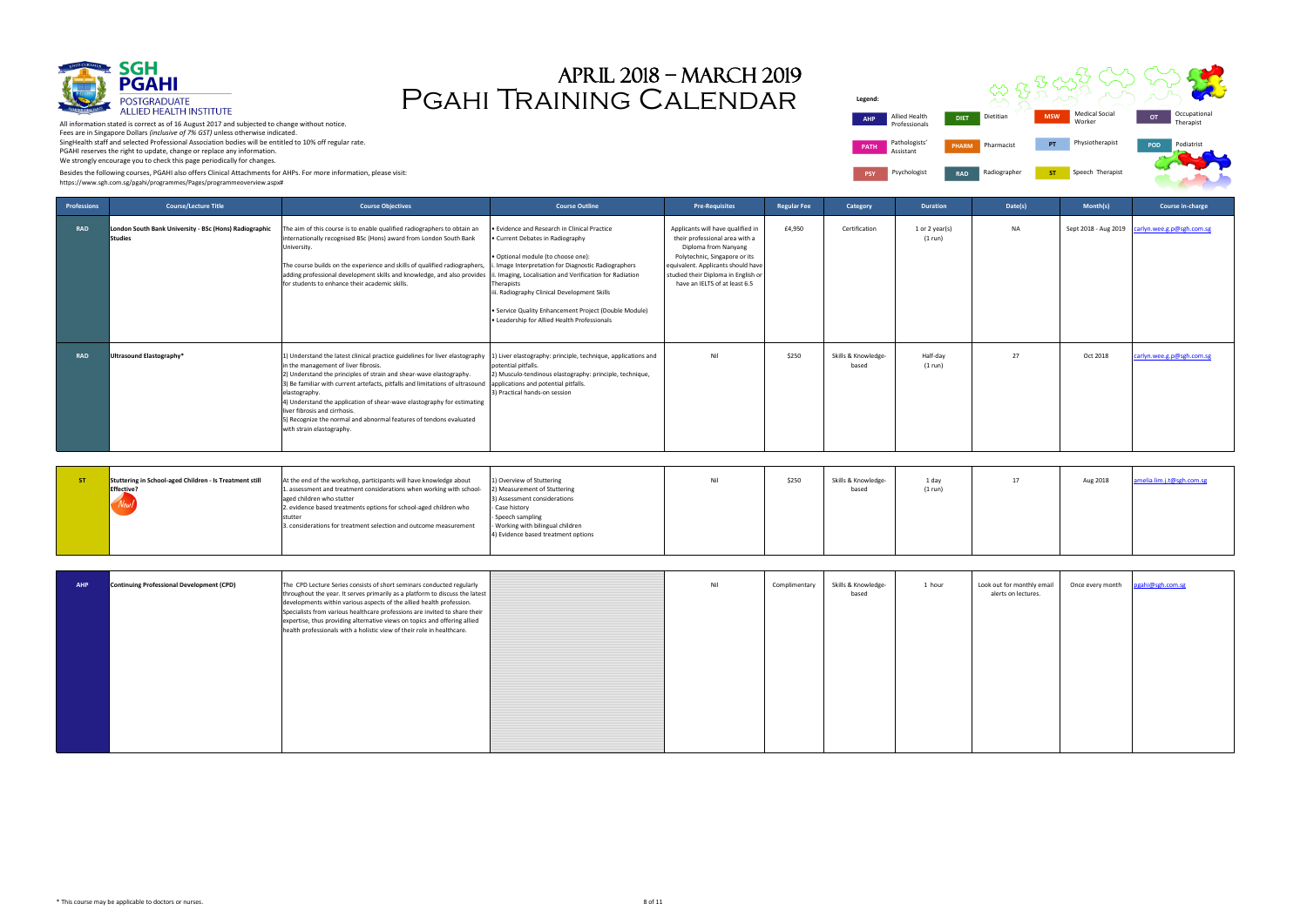

**Legend: PATH** Pathologists' Assistant **PSY** Psychologist **RAD** 

All information stated is correct as of 16 August 2017 and subjected to change without notice. Fees are in Singapore Dollars *(inclusive of 7% GST)* unless otherwise indicated. SingHealth staff and selected Professional Association bodies will be entitled to 10% off regular rate. PGAHI reserves the right to update, change or replace any information. We strongly encourage you to check this page periodically for changes.



| k out for monthly email<br>alerts on lectures. | Once every month | pgahi@sgh.com.sg |
|------------------------------------------------|------------------|------------------|
|                                                |                  |                  |
|                                                |                  |                  |
|                                                |                  |                  |
|                                                |                  |                  |
|                                                |                  |                  |

## Pgahi Training Calendar April 2018 – march 2019

Besides the following courses, PGAHI also offers Clinical Attachments for AHPs. For more information, please visit:

| Professions | <b>Course/Lecture Title</b>                                                   | <b>Course Objectives</b>                                                                                                                                                                                                                                                                                                                                                                                                                                                                                                                                                                                         | <b>Course Outline</b>                                                                                                                                                                                                                                                                                                                                                                               | <b>Pre-Requisites</b>                                                                                                                                                                                                                      | <b>Regular Fee</b> | Category                     | <b>Duration</b>           | Date(s)                                           | Month(s)         | Course in-charge                               |
|-------------|-------------------------------------------------------------------------------|------------------------------------------------------------------------------------------------------------------------------------------------------------------------------------------------------------------------------------------------------------------------------------------------------------------------------------------------------------------------------------------------------------------------------------------------------------------------------------------------------------------------------------------------------------------------------------------------------------------|-----------------------------------------------------------------------------------------------------------------------------------------------------------------------------------------------------------------------------------------------------------------------------------------------------------------------------------------------------------------------------------------------------|--------------------------------------------------------------------------------------------------------------------------------------------------------------------------------------------------------------------------------------------|--------------------|------------------------------|---------------------------|---------------------------------------------------|------------------|------------------------------------------------|
| <b>RAD</b>  | London South Bank University - BSc (Hons) Radiographic<br><b>Studies</b>      | The aim of this course is to enable qualified radiographers to obtain an<br>internationally recognised BSc (Hons) award from London South Bank<br>University.<br>The course builds on the experience and skills of qualified radiographers,<br>adding professional development skills and knowledge, and also provides<br>for students to enhance their academic skills.                                                                                                                                                                                                                                         | Evidence and Research in Clinical Practice<br>Current Debates in Radiography<br>Optional module (to choose one):<br>Image Interpretation for Diagnostic Radiographers<br>. Imaging, Localisation and Verification for Radiation<br>Therapists<br>ii. Radiography Clinical Development Skills<br>Service Quality Enhancement Project (Double Module)<br>• Leadership for Allied Health Professionals | Applicants will have qualified in<br>their professional area with a<br>Diploma from Nanyang<br>Polytechnic, Singapore or its<br>equivalent. Applicants should have<br>studied their Diploma in English or<br>have an IELTS of at least 6.5 | £4,950             | Certification                | 1 or 2 year(s)<br>(1 run) | <b>NA</b>                                         |                  | Sept 2018 - Aug 2019 carlyn.wee.g.p@sgh.com.sg |
| <b>RAD</b>  | Ultrasound Elastography*                                                      | 1) Understand the latest clinical practice guidelines for liver elastography [1] Liver elastography: principle, technique, applications and<br>in the management of liver fibrosis.<br>2) Understand the principles of strain and shear-wave elastography.<br>3) Be familiar with current artefacts, pitfalls and limitations of ultrasound applications and potential pitfalls.<br>elastography.<br>4) Understand the application of shear-wave elastography for estimating<br>liver fibrosis and cirrhosis.<br>5) Recognize the normal and abnormal features of tendons evaluated<br>with strain elastography. | potential pitfalls.<br>2) Musculo-tendinous elastography: principle, technique,<br>3) Practical hands-on session                                                                                                                                                                                                                                                                                    | Nil                                                                                                                                                                                                                                        | \$250              | Skills & Knowledge-<br>based | Half-day<br>(1 run)       | 27                                                | Oct 2018         | carlyn.wee.g.p@sgh.com.sg                      |
| ST.         | Stuttering in School-aged Children - Is Treatment still<br>Effective?<br>New! | At the end of the workshop, participants will have knowledge about<br>1. assessment and treatment considerations when working with school-<br>aged children who stutter<br>2. evidence based treatments options for school-aged children who<br>stutter<br>3. considerations for treatment selection and outcome measurement                                                                                                                                                                                                                                                                                     | 1) Overview of Stuttering<br>2) Measurement of Stuttering<br>Assessment considerations<br>Case history<br>Speech sampling<br>Working with bilingual children<br>4) Evidence based treatment options                                                                                                                                                                                                 | Nil                                                                                                                                                                                                                                        | \$250              | Skills & Knowledge-<br>based | 1 day<br>(1 run)          | 17                                                | Aug 2018         | melia.lim.j.t@sgh.com.sg                       |
| <b>AHP</b>  | <b>Continuing Professional Development (CPD)</b>                              | The CPD Lecture Series consists of short seminars conducted regularly<br>throughout the year. It serves primarily as a platform to discuss the latest<br>developments within various aspects of the allied health profession.<br>Specialists from various healthcare professions are invited to share their<br>expertise, thus providing alternative views on topics and offering allied<br>health professionals with a holistic view of their role in healthcare.                                                                                                                                               |                                                                                                                                                                                                                                                                                                                                                                                                     | Nil                                                                                                                                                                                                                                        | Complimentary      | Skills & Knowledge-<br>based | 1 hour                    | Look out for monthly email<br>alerts on lectures. | Once every month | gahi@sgh.com.sg                                |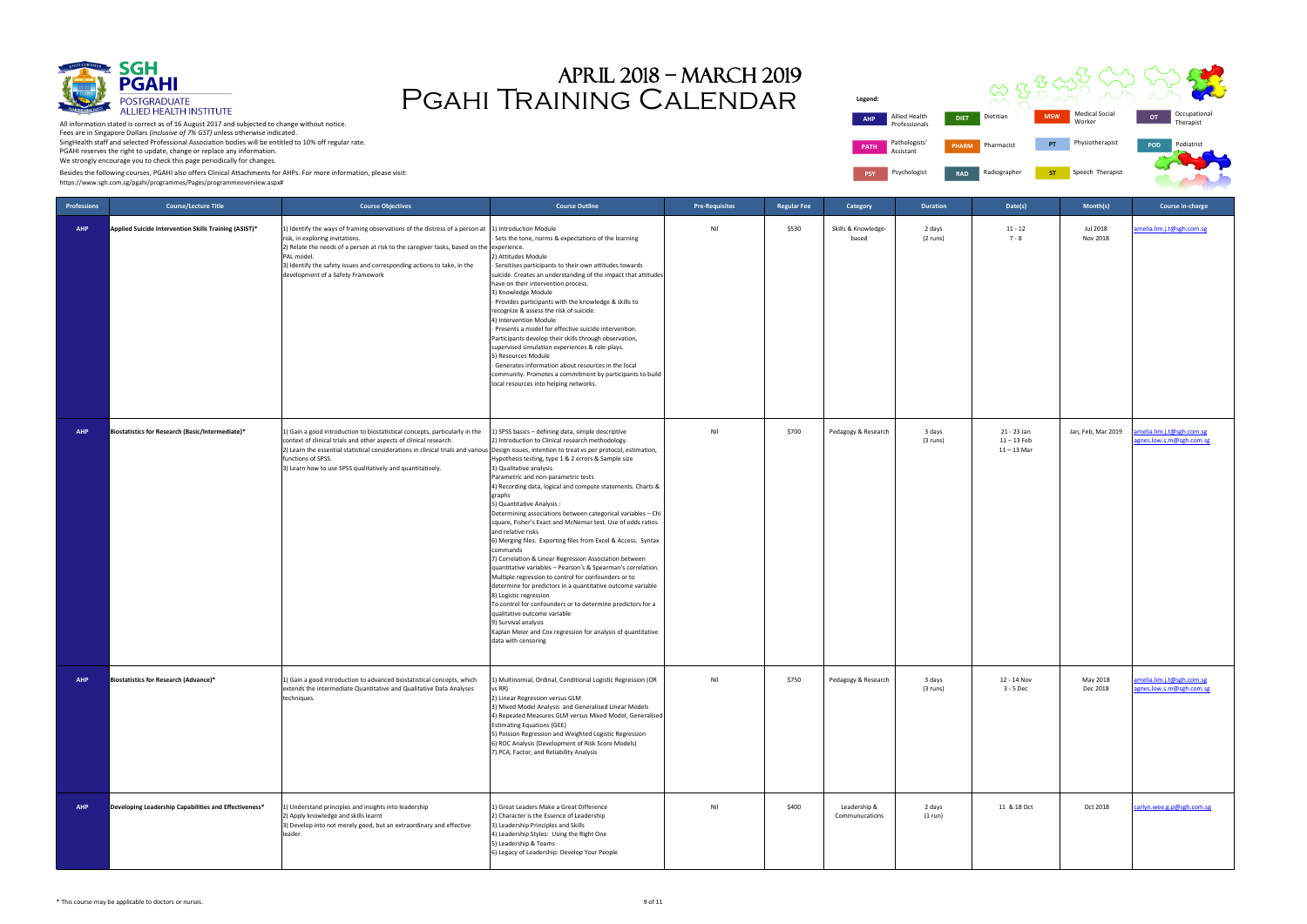

| <b>DIET</b>  | Dietitian    | <b>MSW</b> | <b>Medical Social</b><br>Worker | OT  | Occupational<br>Therapist |
|--------------|--------------|------------|---------------------------------|-----|---------------------------|
| <b>PHARM</b> | Pharmacist   | PT         | Physiotherapist                 | POD | Podiatrist                |
| <b>RAD</b>   | Radiographer | <b>ST</b>  | Speech Therapist                |     |                           |

# Pgahi Training Calendar April 2018 – march 2019

Allied Health Professionals **Legend: AHP Allied Health DIET Di PATH** Pathologists Assistant **PSY** Psychologist **RAD** 

Besides the following courses, PGAHI also offers Clinical Attachments for AHPs. For more information, please visit:

| <b>Professions</b> | <b>Course/Lecture Title</b>                           | <b>Course Objectives</b>                                                                                                                                                                                                                                                                                                                                                                 | <b>Course Outline</b>                                                                                                                                                                                                                                                                                                                                                                                                                                                                                                                                                                                                                                                                                                                                                                                                                                                                                                                                                                                                                                             | <b>Pre-Requisites</b> | <b>Regular Fee</b> | Category                       | <b>Duration</b>      | Date(s)                                       | Month(s)             | Course in-charge                                      |
|--------------------|-------------------------------------------------------|------------------------------------------------------------------------------------------------------------------------------------------------------------------------------------------------------------------------------------------------------------------------------------------------------------------------------------------------------------------------------------------|-------------------------------------------------------------------------------------------------------------------------------------------------------------------------------------------------------------------------------------------------------------------------------------------------------------------------------------------------------------------------------------------------------------------------------------------------------------------------------------------------------------------------------------------------------------------------------------------------------------------------------------------------------------------------------------------------------------------------------------------------------------------------------------------------------------------------------------------------------------------------------------------------------------------------------------------------------------------------------------------------------------------------------------------------------------------|-----------------------|--------------------|--------------------------------|----------------------|-----------------------------------------------|----------------------|-------------------------------------------------------|
| <b>AHP</b>         | Applied Suicide Intervention Skills Training (ASIST)* | 1) Identify the ways of framing observations of the distress of a person at<br>risk, in exploring invitations.<br>2) Relate the needs of a person at risk to the caregiver tasks, based on the experience.<br>PAL model.<br>3) Identify the safety issues and corresponding actions to take, in the<br>development of a Safety Framework                                                 | 1) Introduction Module<br>Sets the tone, norms & expectations of the learning<br>2) Attitudes Module<br>- Sensitises participants to their own attitudes towards<br>suicide. Creates an understanding of the impact that attitudes<br>have on their intervention process.<br>3) Knowledge Module<br>Provides participants with the knowledge & skills to<br>recognize & assess the risk of suicide.<br>4) Intervention Module<br>Presents a model for effective suicide intervention.<br>Participants develop their skills through observation,<br>supervised simulation experiences & role-plays.<br>5) Resources Module<br>- Generates information about resources in the local<br>community. Promotes a commitment by participants to build<br>local resources into helping networks.                                                                                                                                                                                                                                                                          | Nil                   | \$530              | Skills & Knowledge-<br>based   | 2 days<br>$(2$ runs) | $11 - 12$<br>$7 - 8$                          | Jul 2018<br>Nov 2018 | amelia.lim.j.t@sgh.com.sg                             |
| <b>AHP</b>         | Biostatistics for Research (Basic/Intermediate)*      | 1) Gain a good introduction to biostatistical concepts, particularly in the<br>context of clinical trials and other aspects of clinical research.<br>2) Learn the essential statistical considerations in clinical trials and various Design issues, intention to treat vs per protocol, estimation,<br>functions of SPSS.<br>3) Learn how to use SPSS qualitatively and quantitatively. | 1) SPSS basics - defining data, simple descriptive<br>2) Introduction to Clinical research methodology.<br>Hypothesis testing, type 1 & 2 errors & Sample size<br>3) Qualitative analysis<br>Parametric and non-parametric tests<br>4) Recording data, logical and compute statements. Charts &<br>graphs<br>5) Quantitative Analysis:<br>Determining associations between categorical variables - Chi<br>square, Fisher's Exact and McNemar test. Use of odds ratios<br>and relative risks<br>6) Merging files. Exporting files from Excel & Access. Syntax<br>commands<br>7) Correlation & Linear Regression Association between<br>quantitative variables - Pearson's & Spearman's correlation.<br>Multiple regression to control for confounders or to<br>determine for predictors in a quantitative outcome variable<br>8) Logistic regression<br>To control for confounders or to determine predictors for a<br>qualitative outcome variable<br>9) Survival analysis<br>Kaplan Meier and Cox regression for analysis of quantitative<br>data with censoring | Nil                   | \$700              | Pedagogy & Research            | 3 days<br>(3 runs)   | 21 - 23 Jan<br>$11 - 13$ Feb<br>$11 - 13$ Mar | Jan, Feb, Mar 2019   | amelia.lim.j.t@sgh.com.sg<br>gnes.low.s.m@sgh.com.sg  |
| <b>AHP</b>         | Biostatistics for Research (Advance)*                 | 1) Gain a good introduction to advanced biostatistical concepts, which<br>extends the intermediate Quantitative and Qualitative Data Analyses<br>techniques.                                                                                                                                                                                                                             | 1) Multinomial, Ordinal, Conditional Logistic Regression (OR<br>s RR)<br>2) Linear Regression versus GLM<br>3) Mixed Model Analysis and Generalised Linear Models<br>4) Repeated Measures GLM versus Mixed Model, Generalised<br><b>Estimating Equations (GEE)</b><br>5) Poisson Regression and Weighted Logistic Regression<br>6) ROC Analysis (Development of Risk Score Models)<br>7) PCA, Factor, and Reliability Analysis                                                                                                                                                                                                                                                                                                                                                                                                                                                                                                                                                                                                                                    | Nil                   | \$750              | Pedagogy & Research            | 3 days<br>(3 runs)   | 12 - 14 Nov<br>$3 - 5$ Dec                    | May 2018<br>Dec 2018 | amelia.lim.j.t@sgh.com.sg<br>agnes.low.s.m@sgh.com.sg |
| <b>AHP</b>         | Developing Leadership Capabilities and Effectiveness* | 1) Understand principles and insights into leadership<br>2) Apply knowledge and skills learnt<br>3) Develop into not merely good, but an extraordinary and effective<br>leader.                                                                                                                                                                                                          | 1) Great Leaders Make a Great Difference<br>2) Character is the Essence of Leadership<br>3) Leadership Principles and Skills<br>4) Leadership Styles: Using the Right One<br>5) Leadership & Teams<br>6) Legacy of Leadership: Develop Your People                                                                                                                                                                                                                                                                                                                                                                                                                                                                                                                                                                                                                                                                                                                                                                                                                | Nil                   | \$400              | Leadership &<br>Communucations | 2 days<br>(1 run)    | 11 & 18 Oct                                   | Oct 2018             | carlyn.wee.g.p@sgh.com.sg                             |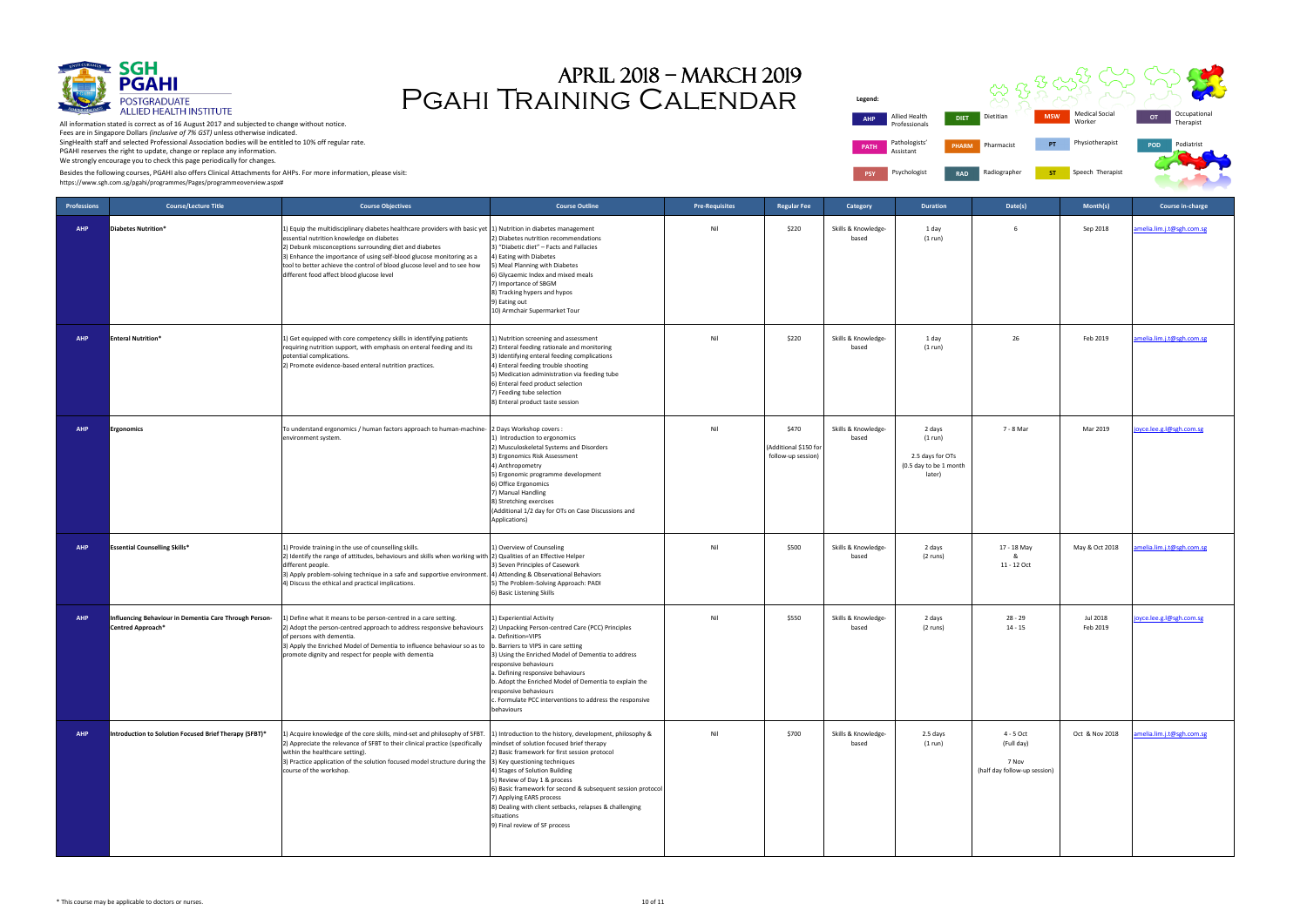Professionals **Legend: PATH** Pathologists Assistant **PSY** Psychologist **RAD** 



All information stated is correct as of 16 August 2017 and subjected to change without notice. Fees are in Singapore Dollars *(inclusive of 7% GST)* unless otherwise indicated. SingHealth staff and selected Professional Association bodies will be entitled to 10% off regular rate. PGAHI reserves the right to update, change or replace any information. We strongly encourage you to check this page periodically for changes.

| gend:       |                                |              |              |            |                                 |            |                           |
|-------------|--------------------------------|--------------|--------------|------------|---------------------------------|------------|---------------------------|
| <b>AHP</b>  | Allied Health<br>Professionals | <b>DIET</b>  | Dietitian    | <b>MSW</b> | <b>Medical Social</b><br>Worker | OT         | Occupational<br>Therapist |
| <b>PATH</b> | Pathologists'<br>Assistant     | <b>PHARM</b> | Pharmacist   | PT         | Physiotherapist                 | <b>POD</b> | Podiatrist                |
| <b>PSY</b>  | Psychologist                   | <b>RAD</b>   | Radiographer | <b>ST</b>  | Speech Therapist                |            |                           |

# Pgahi Training Calendar April 2018 – march 2019

Besides the following courses, PGAHI also offers Clinical Attachments for AHPs. For more information, please visit:

| <b>Professions</b> | <b>Course/Lecture Title</b>                                                 | <b>Course Objectives</b>                                                                                                                                                                                                                                                                                                                                                                                                  | <b>Course Outline</b>                                                                                                                                                                                                                                                                                                                                                                                                          | <b>Pre-Requisites</b> | <b>Regular Fee</b>                                  | Category                     | <b>Duration</b>                                                           | Date(s)                                                          | Month(s)             | <b>Course in-charge</b>   |
|--------------------|-----------------------------------------------------------------------------|---------------------------------------------------------------------------------------------------------------------------------------------------------------------------------------------------------------------------------------------------------------------------------------------------------------------------------------------------------------------------------------------------------------------------|--------------------------------------------------------------------------------------------------------------------------------------------------------------------------------------------------------------------------------------------------------------------------------------------------------------------------------------------------------------------------------------------------------------------------------|-----------------------|-----------------------------------------------------|------------------------------|---------------------------------------------------------------------------|------------------------------------------------------------------|----------------------|---------------------------|
| <b>AHP</b>         | Diabetes Nutrition*                                                         | 1) Equip the multidisciplinary diabetes healthcare providers with basic yet [1] Nutrition in diabetes management<br>essential nutrition knowledge on diabetes<br>2) Debunk misconceptions surrounding diet and diabetes<br>3) Enhance the importance of using self-blood glucose monitoring as a<br>tool to better achieve the control of blood glucose level and to see how<br>different food affect blood glucose level | 2) Diabetes nutrition recommendations<br>3) "Diabetic diet" - Facts and Fallacies<br>4) Eating with Diabetes<br>5) Meal Planning with Diabetes<br>6) Glycaemic Index and mixed meals<br>7) Importance of SBGM<br>8) Tracking hypers and hypos<br>9) Eating out<br>10) Armchair Supermarket Tour                                                                                                                                | Nil                   | \$220                                               | Skills & Knowledge-<br>based | 1 day<br>(1 run)                                                          |                                                                  | Sep 2018             | amelia.lim.j.t@sgh.com.sg |
| <b>AHP</b>         | <b>Enteral Nutrition*</b>                                                   | 1) Get equipped with core competency skills in identifying patients<br>requiring nutrition support, with emphasis on enteral feeding and its<br>potential complications.<br>2) Promote evidence-based enteral nutrition practices.                                                                                                                                                                                        | 1) Nutrition screening and assessment<br>2) Enteral feeding rationale and monitoring<br>3) Identifying enteral feeding complications<br>4) Enteral feeding trouble shooting<br>5) Medication administration via feeding tube<br>6) Enteral feed product selection<br>7) Feeding tube selection<br>8) Enteral product taste session                                                                                             | Nil                   | \$220                                               | Skills & Knowledge-<br>based | 1 day<br>(1 run)                                                          | 26                                                               | Feb 2019             | amelia.lim.j.t@sgh.com.sg |
| <b>AHP</b>         | rgonomics                                                                   | To understand ergonomics / human factors approach to human-machine-<br>environment system.                                                                                                                                                                                                                                                                                                                                | 2 Days Workshop covers :<br>1) Introduction to ergonomics<br>2) Musculoskeletal Systems and Disorders<br>3) Ergonomics Risk Assessment<br>4) Anthropometry<br>5) Ergonomic programme development<br>6) Office Ergonomics<br>7) Manual Handling<br>8) Stretching exercises<br>(Additional 1/2 day for OTs on Case Discussions and<br>Applications)                                                                              | Nil                   | \$470<br>Additional \$150 for<br>follow-up session) | Skills & Knowledge-<br>based | 2 days<br>(1 run)<br>2.5 days for OTs<br>(0.5 day to be 1 month<br>later) | 7 - 8 Mar                                                        | Mar 2019             | joyce.lee.g.l@sgh.com.sg  |
| <b>AHP</b>         | <b>Essential Counselling Skills*</b>                                        | 1) Provide training in the use of counselling skills.<br>2) Identify the range of attitudes, behaviours and skills when working with 2) Qualities of an Effective Helper<br>different people.<br>3) Apply problem-solving technique in a safe and supportive environment. 4) Attending & Observational Behaviors<br>4) Discuss the ethical and practical implications.                                                    | 1) Overview of Counseling<br>3) Seven Principles of Casework<br>5) The Problem-Solving Approach: PADI<br>6) Basic Listening Skills                                                                                                                                                                                                                                                                                             | Nil                   | \$500                                               | Skills & Knowledge-<br>based | 2 days<br>(2 runs)                                                        | 17 - 18 May<br>&<br>11 - 12 Oct                                  | May & Oct 2018       | amelia.lim.j.t@sgh.com.sg |
| <b>AHP</b>         | Influencing Behaviour in Dementia Care Through Person-<br>Centred Approach* | 1) Define what it means to be person-centred in a care setting.<br>2) Adopt the person-centred approach to address responsive behaviours<br>of persons with dementia.<br>3) Apply the Enriched Model of Dementia to influence behaviour so as to<br>promote dignity and respect for people with dementia                                                                                                                  | 1) Experiential Activity<br>2) Unpacking Person-centred Care (PCC) Principles<br>a. Definition=VIPS<br>b. Barriers to VIPS in care setting<br>3) Using the Enriched Model of Dementia to address<br>responsive behaviours<br>a. Defining responsive behaviours<br>b. Adopt the Enriched Model of Dementia to explain the<br>responsive behaviours<br>c. Formulate PCC interventions to address the responsive<br>behaviours    | Nil                   | \$550                                               | Skills & Knowledge-<br>based | 2 days<br>(2 runs)                                                        | $28 - 29$<br>$14 - 15$                                           | Jul 2018<br>Feb 2019 | joyce.lee.g.l@sgh.com.sg  |
| <b>AHP</b>         | Introduction to Solution Focused Brief Therapy (SFBT)*                      | 1) Acquire knowledge of the core skills, mind-set and philosophy of SFBT.<br>2) Appreciate the relevance of SFBT to their clinical practice (specifically<br>within the healthcare setting).<br>3) Practice application of the solution focused model structure during the 3) Key questioning techniques<br>course of the workshop.                                                                                       | 1) Introduction to the history, development, philosophy &<br>mindset of solution focused brief therapy<br>2) Basic framework for first session protocol<br>4) Stages of Solution Building<br>5) Review of Day 1 & process<br>6) Basic framework for second & subsequent session protocol<br>7) Applying EARS process<br>8) Dealing with client setbacks, relapses & challenging<br>situations<br>9) Final review of SF process | Nil                   | \$700                                               | Skills & Knowledge-<br>based | 2.5 days<br>(1 run)                                                       | 4 - 5 Oct<br>(Full day)<br>7 Nov<br>(half day follow-up session) | Oct & Nov 2018       | amelia.lim.j.t@sgh.com.sg |